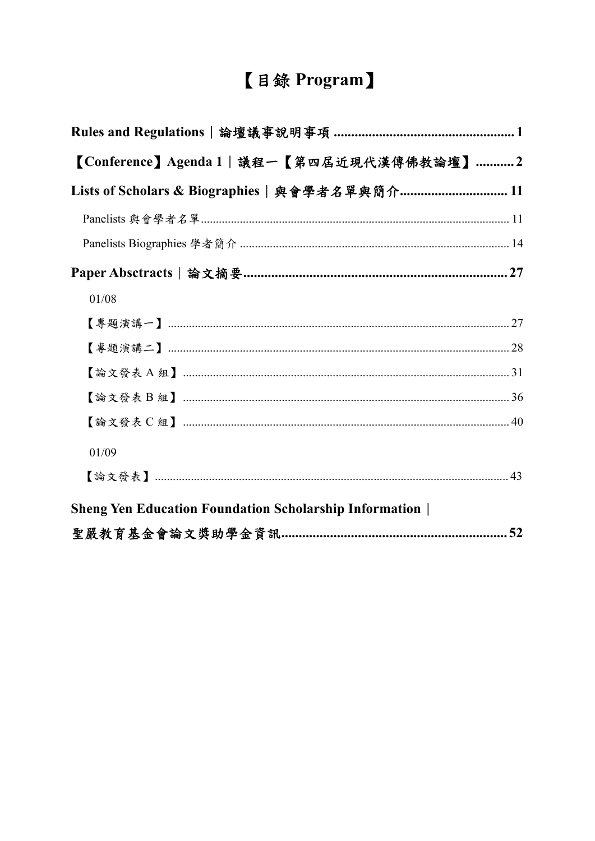# 【目錄 Program】

| 【Conference】Agenda 1   議程一【第四屆近現代漢傳佛教論壇】…………2                 |
|---------------------------------------------------------------|
| Lists of Scholars & Biographies   與會學者名單與簡介 11                |
|                                                               |
|                                                               |
|                                                               |
| 01/08                                                         |
|                                                               |
|                                                               |
|                                                               |
|                                                               |
|                                                               |
| 01/09                                                         |
|                                                               |
| <b>Sheng Yen Education Foundation Scholarship Information</b> |
|                                                               |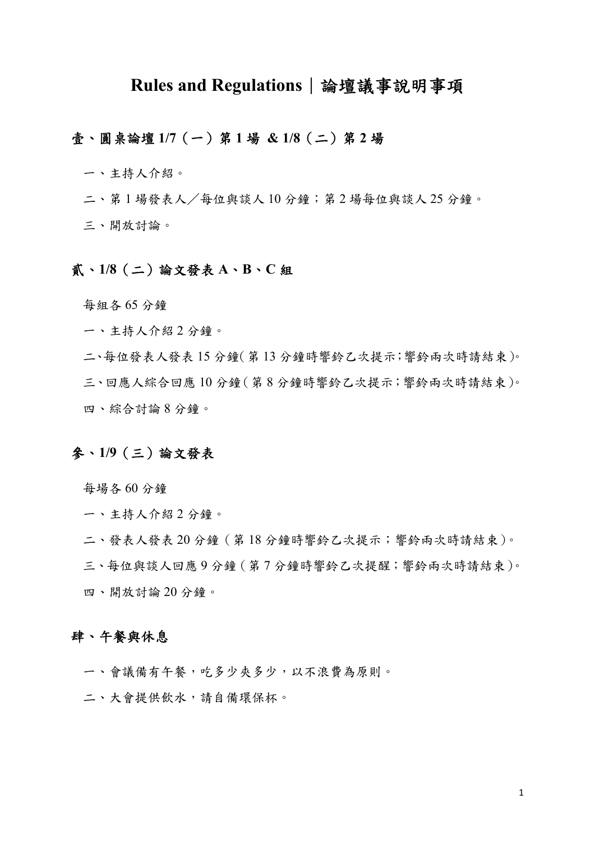## **Rules and Regulations**︱論壇議事說明事項

## 壹、圓桌論壇 **1/7**(一)第 **1** 場 **& 1/8**(二)第 **2** 場

一、主持人介紹。

二、第1場發表人/每位與談人10分鐘;第2場每位與談人25分鐘。

三、開放討論。

#### 貳、**1/8**(二)論文發表 **A**、**B**、**C** 組

每組各 65 分鐘

一、主持人介紹 2 分鐘。

二、每位發表人發表 15 分鐘(第 13 分鐘時響鈴乙次提示;響鈴兩次時請結束)。 三、回應人綜合回應 10 分鐘(第 8 分鐘時響鈴乙次提示;響鈴兩次時請結束)。 四、綜合討論 8 分鐘。

## 參、**1/9**(三)論文發表

每場各 60 分鐘

一、主持人介紹 2 分鐘。

二、發表人發表 20 分鐘(第 18 分鐘時響鈴乙次提示;響鈴兩次時請結束)。

三、每位與談人回應 9 分鐘(第 7 分鐘時響鈴乙次提醒;響鈴兩次時請結束)。 四、開放討論 20 分鐘。

## 肆、午餐與休息

一、會議備有午餐,吃多少夾多少,以不浪費為原則。

二、大會提供飲水,請自備環保杯。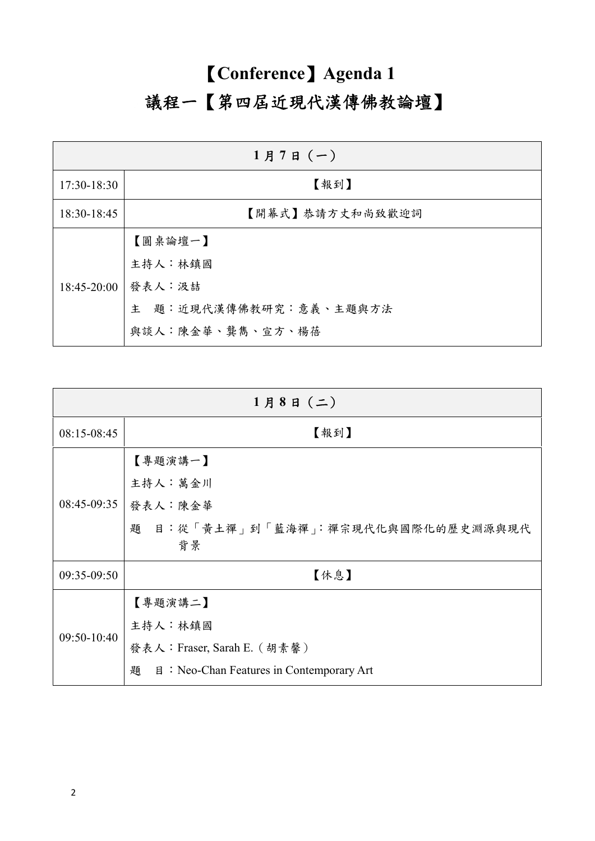# 【**Conference**】**Agenda 1**  議程一【第四屆近現代漢傳佛教論壇】

| $1$ 月7日 $(-)$ |                        |  |  |
|---------------|------------------------|--|--|
| 17:30-18:30   | 【報到】                   |  |  |
| 18:30-18:45   | 【開幕式】恭請方丈和尚致歡迎詞        |  |  |
|               | 【圓桌論壇一】                |  |  |
|               | 主持人:林鎮國                |  |  |
| $18:45-20:00$ | 發表人:汲喆                 |  |  |
|               | 主 題:近現代漢傳佛教研究:意義、主題與方法 |  |  |
|               | 與談人:陳金華、龔雋、宣方、楊蓓       |  |  |

| $1$ 月8日 (二)   |                                                           |  |  |
|---------------|-----------------------------------------------------------|--|--|
| 08:15-08:45   | 【報到】                                                      |  |  |
|               | 【專題演講一】                                                   |  |  |
|               | 主持人:萬金川                                                   |  |  |
| $08:45-09:35$ | 發表人:陳金華                                                   |  |  |
|               | 題 目:從「黃土禪」到「藍海禪」:禪宗現代化與國際化的歷史淵源與現代                        |  |  |
|               | 背景                                                        |  |  |
| 09:35-09:50   | 【休息】                                                      |  |  |
|               | 【專題演講二】                                                   |  |  |
|               | 主持人:林鎮國                                                   |  |  |
| $09:50-10:40$ | 發表人: Fraser, Sarah E. (胡素馨)                               |  |  |
|               | 題<br>$\mathbb{B}$ : Neo-Chan Features in Contemporary Art |  |  |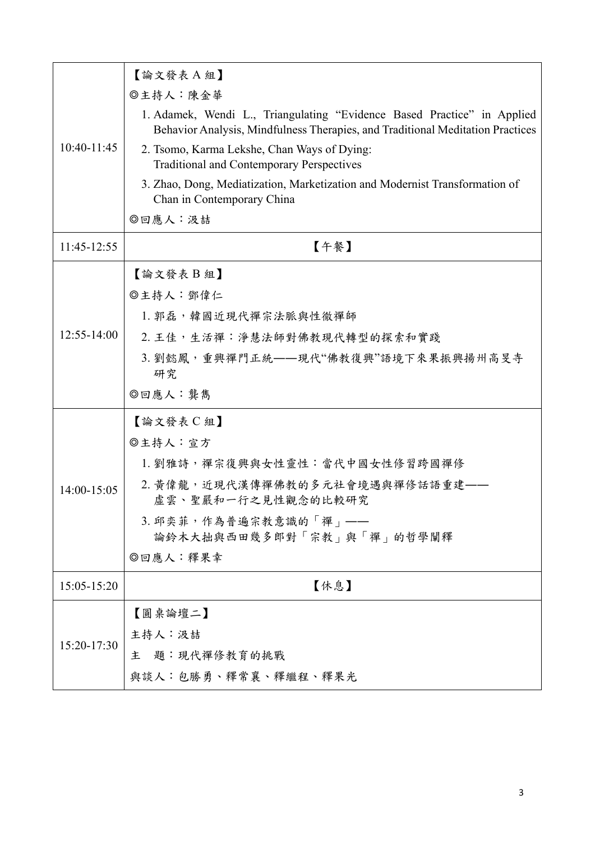|                 | 【論文發表A組】                                                                                                                                                  |
|-----------------|-----------------------------------------------------------------------------------------------------------------------------------------------------------|
|                 | ◎主持人:陳金華                                                                                                                                                  |
|                 | 1. Adamek, Wendi L., Triangulating "Evidence Based Practice" in Applied<br>Behavior Analysis, Mindfulness Therapies, and Traditional Meditation Practices |
| $10:40-11:45$   | 2. Tsomo, Karma Lekshe, Chan Ways of Dying:<br><b>Traditional and Contemporary Perspectives</b>                                                           |
|                 | 3. Zhao, Dong, Mediatization, Marketization and Modernist Transformation of<br>Chan in Contemporary China                                                 |
|                 | ◎回應人:汲喆                                                                                                                                                   |
| 11:45-12:55     | 【午餐】                                                                                                                                                      |
|                 | 【論文發表B組】                                                                                                                                                  |
|                 | ◎主持人:鄧偉仁                                                                                                                                                  |
|                 | 1. 郭磊, 韓國近現代禪宗法脈與性徹禪師                                                                                                                                     |
| $12:55 - 14:00$ | 2. 王佳,生活禪:淨慧法師對佛教現代轉型的探索和實踐                                                                                                                               |
|                 | 3. 劉懿鳳, 重興禪門正統 -- 現代"佛教復興"語境下來果振興揚州高旻寺<br>研究                                                                                                              |
|                 | ◎回應人:龔雋                                                                                                                                                   |
|                 | 【論文發表 C 組】                                                                                                                                                |
|                 | ◎主持人:宣方                                                                                                                                                   |
|                 | 1. 劉雅詩,禪宗復興與女性靈性:當代中國女性修習跨國禪修                                                                                                                             |
| 14:00-15:05     | 2. 黃偉龍, 近現代漢傳禪佛教的多元社會境遇與禪修話語重建——<br>虛雲、聖嚴和一行之見性觀念的比較研究                                                                                                    |
|                 | 3. 邱奕菲,作為普遍宗教意識的「禪」 ——<br>論鈴木大拙與西田幾多郎對「宗教」與「禪」的哲學闡釋                                                                                                       |
|                 | ◎回應人:釋果幸                                                                                                                                                  |
| 15:05-15:20     | 【休息】                                                                                                                                                      |
|                 | 【圓桌論壇二】                                                                                                                                                   |
|                 | 主持人:汲喆                                                                                                                                                    |
| 15:20-17:30     | 主 題:現代禪修教育的挑戰                                                                                                                                             |
|                 | 與談人:包勝勇、釋常襄、釋繼程、釋果光                                                                                                                                       |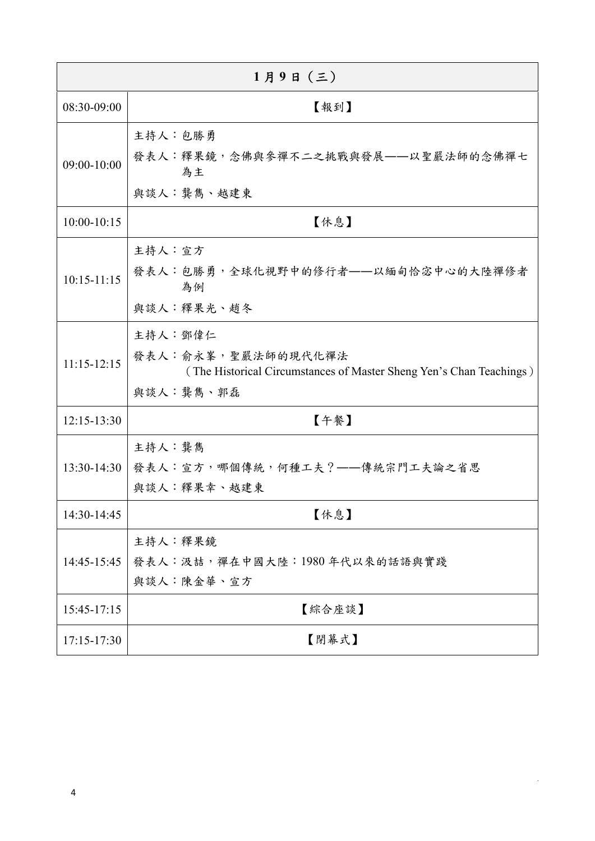| $1$ 月9日 $($ 三 $)$ |                                                                                                                    |  |  |
|-------------------|--------------------------------------------------------------------------------------------------------------------|--|--|
| 08:30-09:00       | 【報到】                                                                                                               |  |  |
| 09:00-10:00       | 主持人:包勝勇<br>發表人:釋果鏡,念佛與參禪不二之挑戰與發展——以聖嚴法師的念佛禪七<br>為主<br>與談人:龔雋、越建東                                                   |  |  |
| $10:00 - 10:15$   | 【休息】                                                                                                               |  |  |
| $10:15-11:15$     | 主持人:宣方<br>發表人:包勝勇,全球化視野中的修行者——以緬甸恰宓中心的大陸禪修者<br>為例<br>與談人:釋果光、趙冬                                                    |  |  |
| $11:15-12:15$     | 主持人:鄧偉仁<br>發表人:俞永峯, 聖嚴法師的現代化禪法<br>(The Historical Circumstances of Master Sheng Yen's Chan Teachings)<br>與談人:龔雋、郭磊 |  |  |
| $12:15 - 13:30$   | 【午餐】                                                                                                               |  |  |
| $13:30-14:30$     | 主持人:龔雋<br>發表人:宣方,哪個傳統,何種工夫?——傳統宗門工夫論之省思<br>與談人:釋果幸、越建東                                                             |  |  |
| 14:30-14:45       | 【休息】                                                                                                               |  |  |
| 14:45-15:45       | 主持人:釋果鏡<br>發表人:汲喆,禪在中國大陸:1980年代以來的話語與實踐<br>與談人:陳金華、宣方                                                              |  |  |
| 15:45-17:15       | 【綜合座談】                                                                                                             |  |  |
| 17:15-17:30       | 【閉幕式】                                                                                                              |  |  |

 $\hat{\mathbf{r}}$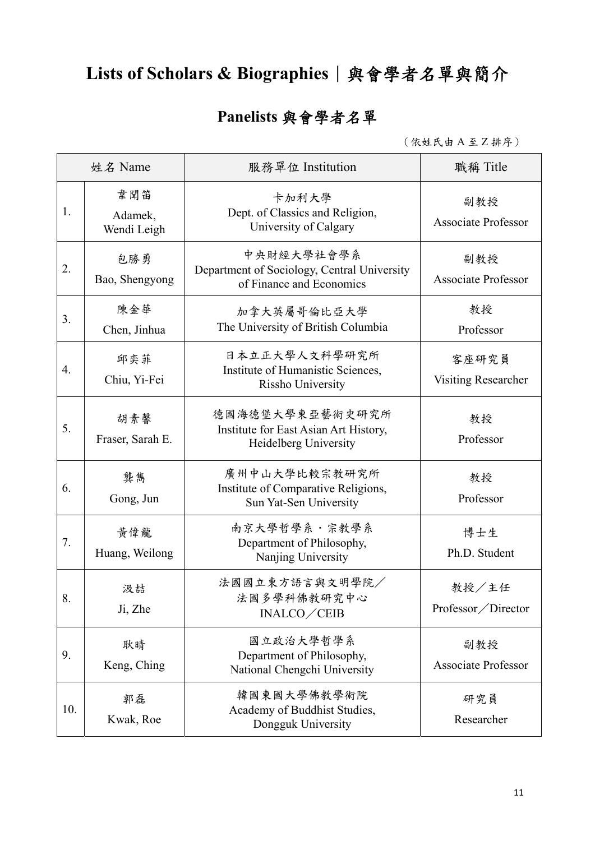# Lists of Scholars & Biographies│與會學者名單與簡介

# **Panelists** 與會學者名單

(依姓氏由 A 至 Z 排序)

| 姓名 Name |                               | 服務單位 Institution                                                                      | 職稱 Title                          |
|---------|-------------------------------|---------------------------------------------------------------------------------------|-----------------------------------|
| 1.      | 韋聞笛<br>Adamek,<br>Wendi Leigh | 卡加利大學<br>Dept. of Classics and Religion,<br>University of Calgary                     | 副教授<br><b>Associate Professor</b> |
| 2.      | 包勝勇<br>Bao, Shengyong         | 中央財經大學社會學系<br>Department of Sociology, Central University<br>of Finance and Economics | 副教授<br><b>Associate Professor</b> |
| 3.      | 陳金華<br>Chen, Jinhua           | 加拿大英屬哥倫比亞大學<br>The University of British Columbia                                     | 教授<br>Professor                   |
| 4.      | 邱奕菲<br>Chiu, Yi-Fei           | 日本立正大學人文科學研究所<br>Institute of Humanistic Sciences,<br>Rissho University               | 客座研究員<br>Visiting Researcher      |
| 5.      | 胡素馨<br>Fraser, Sarah E.       | 德國海德堡大學東亞藝術史研究所<br>Institute for East Asian Art History,<br>Heidelberg University     | 教授<br>Professor                   |
| 6.      | 龔雋<br>Gong, Jun               | 廣州中山大學比較宗教研究所<br>Institute of Comparative Religions,<br>Sun Yat-Sen University        | 教授<br>Professor                   |
| 7.      | 黃偉龍<br>Huang, Weilong         | 南京大學哲學系・宗教學系<br>Department of Philosophy,<br>Nanjing University                       | 博士生<br>Ph.D. Student              |
| 8.      | 汲喆<br>Ji, Zhe                 | 法國國立東方語言與文明學院/<br>法國多學科佛教研究中心<br>INALCO/CEIB                                          | 教授/主任<br>Professor/Director       |
| 9.      | 耿晴<br>Keng, Ching             | 國立政治大學哲學系<br>Department of Philosophy,<br>National Chengchi University                | 副教授<br><b>Associate Professor</b> |
| 10.     | 郭磊<br>Kwak, Roe               | 韓國東國大學佛教學術院<br>Academy of Buddhist Studies,<br>Dongguk University                     | 研究員<br>Researcher                 |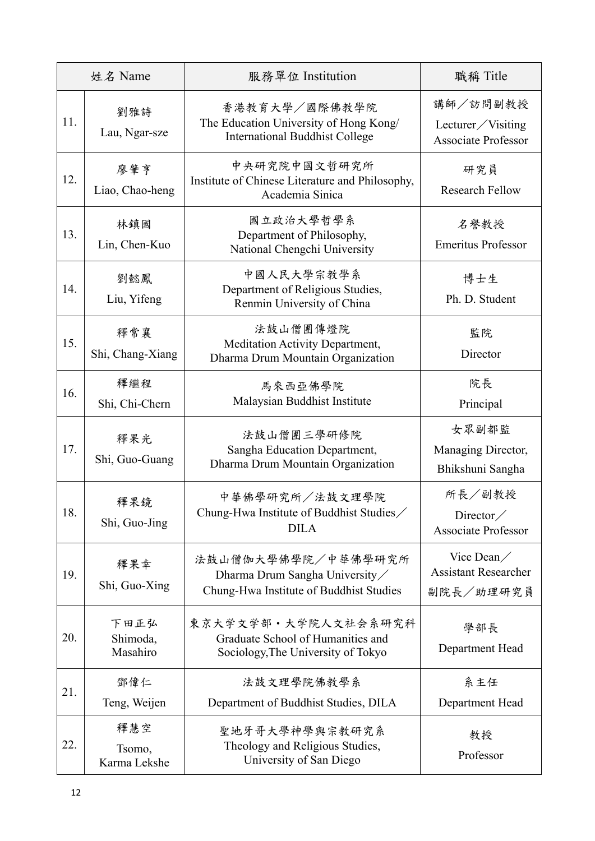| 姓名 Name |                               | 服務單位 Institution                                                                                 | 職稱 Title                                                    |
|---------|-------------------------------|--------------------------------------------------------------------------------------------------|-------------------------------------------------------------|
| 11.     | 劉雅詩<br>Lau, Ngar-sze          | 香港教育大學/國際佛教學院<br>The Education University of Hong Kong/<br><b>International Buddhist College</b> | 講師/訪問副教授<br>Lecturer/Visiting<br><b>Associate Professor</b> |
| 12.     | 廖肇亨<br>Liao, Chao-heng        | 中央研究院中國文哲研究所<br>Institute of Chinese Literature and Philosophy,<br>Academia Sinica               | 研究員<br><b>Research Fellow</b>                               |
| 13.     | 林鎮國<br>Lin, Chen-Kuo          | 國立政治大學哲學系<br>Department of Philosophy,<br>National Chengchi University                           | 名譽教授<br><b>Emeritus Professor</b>                           |
| 14.     | 劉懿鳳<br>Liu, Yifeng            | 中國人民大學宗教學系<br>Department of Religious Studies,<br>Renmin University of China                     | 博士生<br>Ph. D. Student                                       |
| 15.     | 釋常襄<br>Shi, Chang-Xiang       | 法鼓山僧團傳燈院<br>Meditation Activity Department,<br>Dharma Drum Mountain Organization                 | 監院<br>Director                                              |
| 16.     | 釋繼程<br>Shi, Chi-Chern         | 馬來西亞佛學院<br>Malaysian Buddhist Institute                                                          | 院長<br>Principal                                             |
| 17.     | 釋果光<br>Shi, Guo-Guang         | 法鼓山僧團三學研修院<br>Sangha Education Department,<br>Dharma Drum Mountain Organization                  | 女眾副都監<br>Managing Director,<br>Bhikshuni Sangha             |
| 18.     | 釋果鏡<br>Shi, Guo-Jing          | 中華佛學研究所/法鼓文理學院<br>Chung-Hwa Institute of Buddhist Studies/<br><b>DILA</b>                        | 所長/副教授<br>Director/<br><b>Associate Professor</b>           |
| 19.     | 釋果幸<br>Shi, Guo-Xing          | 法鼓山僧伽大學佛學院/中華佛學研究所<br>Dharma Drum Sangha University<br>Chung-Hwa Institute of Buddhist Studies   | Vice Dean/<br><b>Assistant Researcher</b><br>副院長/助理研究員      |
| 20.     | 下田正弘<br>Shimoda,<br>Masahiro  | 東京大学文学部・大学院人文社会系研究科<br>Graduate School of Humanities and<br>Sociology, The University of Tokyo   | 學部長<br>Department Head                                      |
| 21.     | 鄧偉仁<br>Teng, Weijen           | 法鼓文理學院佛教學系<br>Department of Buddhist Studies, DILA                                               | 系主任<br>Department Head                                      |
| 22.     | 釋慧空<br>Tsomo,<br>Karma Lekshe | 聖地牙哥大學神學與宗教研究系<br>Theology and Religious Studies,<br>University of San Diego                     | 教授<br>Professor                                             |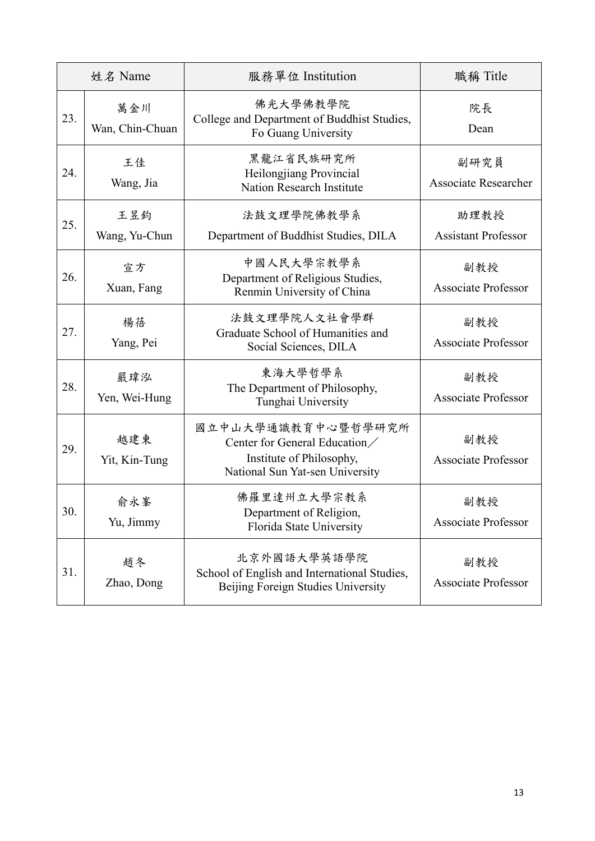| 姓名 Name |                        | 服務單位 Institution                                                                                                  | 職稱 Title                            |
|---------|------------------------|-------------------------------------------------------------------------------------------------------------------|-------------------------------------|
| 23.     | 萬金川<br>Wan, Chin-Chuan | 佛光大學佛教學院<br>College and Department of Buddhist Studies,<br>Fo Guang University                                    | 院長<br>Dean                          |
| 24.     | 王佳<br>Wang, Jia        | 黑龍江省民族研究所<br>Heilongjiang Provincial<br>Nation Research Institute                                                 | 副研究員<br><b>Associate Researcher</b> |
| 25.     | 王昱鈞<br>Wang, Yu-Chun   | 法鼓文理學院佛教學系<br>Department of Buddhist Studies, DILA                                                                | 助理教授<br><b>Assistant Professor</b>  |
| 26.     | 宣方<br>Xuan, Fang       | 中國人民大學宗教學系<br>Department of Religious Studies,<br>Renmin University of China                                      | 副教授<br><b>Associate Professor</b>   |
| 27.     | 楊蓓<br>Yang, Pei        | 法鼓文理學院人文社會學群<br>Graduate School of Humanities and<br>Social Sciences, DILA                                        | 副教授<br><b>Associate Professor</b>   |
| 28.     | 嚴瑋泓<br>Yen, Wei-Hung   | 東海大學哲學系<br>The Department of Philosophy,<br>Tunghai University                                                    | 副教授<br><b>Associate Professor</b>   |
| 29.     | 越建東<br>Yit, Kin-Tung   | 國立中山大學通識教育中心暨哲學研究所<br>Center for General Education<br>Institute of Philosophy,<br>National Sun Yat-sen University | 副教授<br><b>Associate Professor</b>   |
| 30.     | 俞永峯<br>Yu, Jimmy       | 佛羅里達州立大學宗教系<br>Department of Religion,<br>Florida State University                                                | 副教授<br><b>Associate Professor</b>   |
| 31.     | 趙冬<br>Zhao, Dong       | 北京外國語大學英語學院<br>School of English and International Studies,<br>Beijing Foreign Studies University                 | 副教授<br><b>Associate Professor</b>   |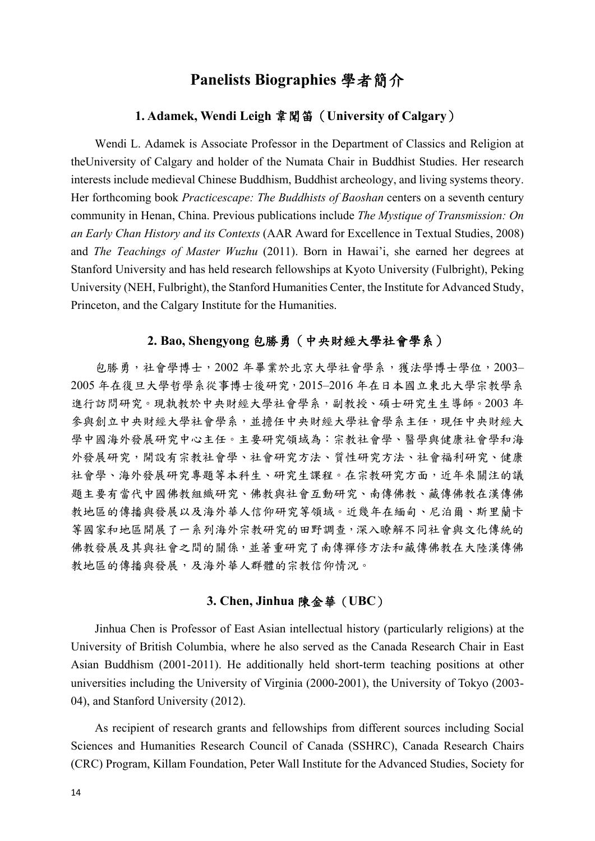## **Panelists Biographies** 學者簡介

### **1. Adamek, Wendi Leigh** 韋聞笛( **University of Calgary**)

Wendi L. Adamek is Associate Professor in the Department of Classics and Religion at theUniversity of Calgary and holder of the Numata Chair in Buddhist Studies. Her research interests include medieval Chinese Buddhism, Buddhist archeology, and living systems theory. Her forthcoming book *Practicescape: The Buddhists of Baoshan* centers on a seventh century community in Henan, China. Previous publications include *The Mystique of Transmission: On an Early Chan History and its Contexts* (AAR Award for Excellence in Textual Studies, 2008) and *The Teachings of Master Wuzhu* (2011). Born in Hawai'i, she earned her degrees at Stanford University and has held research fellowships at Kyoto University (Fulbright), Peking University (NEH, Fulbright), the Stanford Humanities Center, the Institute for Advanced Study, Princeton, and the Calgary Institute for the Humanities.

## **2. Bao, Shengyong** 包勝勇(中央財經大學社會學系)

包勝勇,社會學博士,2002 年畢業於北京大學社會學系,獲法學博士學位,2003– 2005 年在復旦大學哲學系從事博士後研究,2015–2016 年在日本國立東北大學宗教學系 進行訪問研究。現執教於中央財經大學社會學系,副教授、碩士研究生生導師。2003 年 參與創立中央財經大學社會學系,並擔任中央財經大學社會學系主任,現任中央財經大 學中國海外發展研究中心主任。主要研究領域為:宗教社會學、醫學與健康社會學和海 外發展研究,開設有宗教社會學、社會研究方法、質性研究方法、社會福利研究、健康 社會學、海外發展研究專題等本科生、研究生課程。在宗教研究方面,近年來關注的議 題主要有當代中國佛教組織研究、佛教與社會互動研究、南傳佛教、藏傳佛教在漢傳佛 教地區的傳播與發展以及海外華人信仰研究等領域。近幾年在緬甸、尼泊爾、斯里蘭卡 等國家和地區開展了一系列海外宗教研究的田野調查,深入瞭解不同社會與文化傳統的 佛教發展及其與社會之間的關係,並著重研究了南傳禪修方法和藏傳佛教在大陸漢傳佛 教地區的傳播與發展,及海外華人群體的宗教信仰情況。

#### **3. Chen, Jinhua** 陳金華(**UBC**)

Jinhua Chen is Professor of East Asian intellectual history (particularly religions) at the University of British Columbia, where he also served as the Canada Research Chair in East Asian Buddhism (2001-2011). He additionally held short-term teaching positions at other universities including the University of Virginia (2000-2001), the University of Tokyo (2003- 04), and Stanford University (2012).

As recipient of research grants and fellowships from different sources including Social Sciences and Humanities Research Council of Canada (SSHRC), Canada Research Chairs (CRC) Program, Killam Foundation, Peter Wall Institute for the Advanced Studies, Society for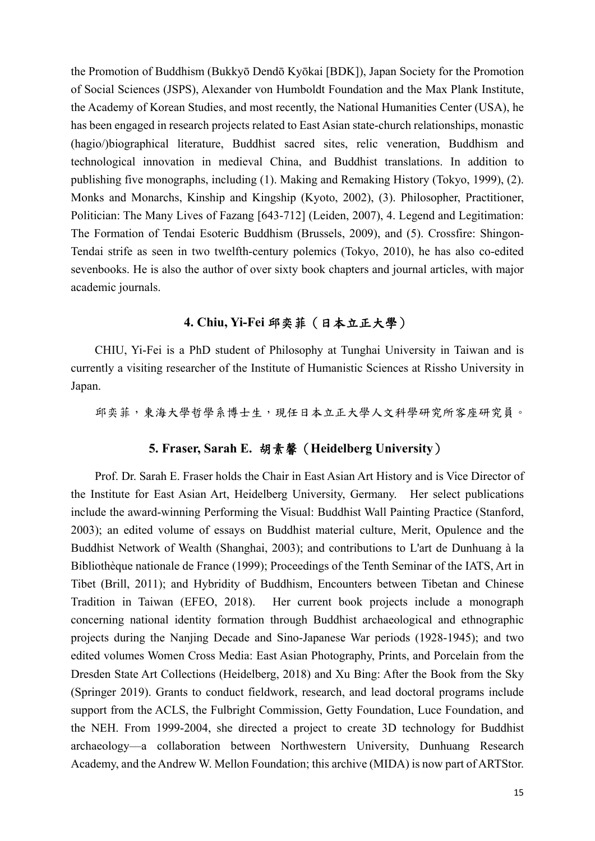the Promotion of Buddhism (Bukkyō Dendō Kyōkai [BDK]), Japan Society for the Promotion of Social Sciences (JSPS), Alexander von Humboldt Foundation and the Max Plank Institute, the Academy of Korean Studies, and most recently, the National Humanities Center (USA), he has been engaged in research projects related to East Asian state-church relationships, monastic (hagio/)biographical literature, Buddhist sacred sites, relic veneration, Buddhism and technological innovation in medieval China, and Buddhist translations. In addition to publishing five monographs, including (1). Making and Remaking History (Tokyo, 1999), (2). Monks and Monarchs, Kinship and Kingship (Kyoto, 2002), (3). Philosopher, Practitioner, Politician: The Many Lives of Fazang [643-712] (Leiden, 2007), 4. Legend and Legitimation: The Formation of Tendai Esoteric Buddhism (Brussels, 2009), and (5). Crossfire: Shingon-Tendai strife as seen in two twelfth-century polemics (Tokyo, 2010), he has also co-edited sevenbooks. He is also the author of over sixty book chapters and journal articles, with major academic journals.

## **4. Chiu, Yi-Fei** 邱奕菲(日本立正大學)

CHIU, Yi-Fei is a PhD student of Philosophy at Tunghai University in Taiwan and is currently a visiting researcher of the Institute of Humanistic Sciences at Rissho University in Japan.

邱奕菲,東海大學哲學系博士生,現任日本立正大學人文科學研究所客座研究員。

### **5. Fraser, Sarah E.** 胡素馨(**Heidelberg University**)

Prof. Dr. Sarah E. Fraser holds the Chair in East Asian Art History and is Vice Director of the Institute for East Asian Art, Heidelberg University, Germany. Her select publications include the award-winning Performing the Visual: Buddhist Wall Painting Practice (Stanford, 2003); an edited volume of essays on Buddhist material culture, Merit, Opulence and the Buddhist Network of Wealth (Shanghai, 2003); and contributions to L'art de Dunhuang à la Bibliothèque nationale de France (1999); Proceedings of the Tenth Seminar of the IATS, Art in Tibet (Brill, 2011); and Hybridity of Buddhism, Encounters between Tibetan and Chinese Tradition in Taiwan (EFEO, 2018). Her current book projects include a monograph concerning national identity formation through Buddhist archaeological and ethnographic projects during the Nanjing Decade and Sino-Japanese War periods (1928-1945); and two edited volumes Women Cross Media: East Asian Photography, Prints, and Porcelain from the Dresden State Art Collections (Heidelberg, 2018) and Xu Bing: After the Book from the Sky (Springer 2019). Grants to conduct fieldwork, research, and lead doctoral programs include support from the ACLS, the Fulbright Commission, Getty Foundation, Luce Foundation, and the NEH. From 1999-2004, she directed a project to create 3D technology for Buddhist archaeology––a collaboration between Northwestern University, Dunhuang Research Academy, and the Andrew W. Mellon Foundation; this archive (MIDA) is now part of ARTStor.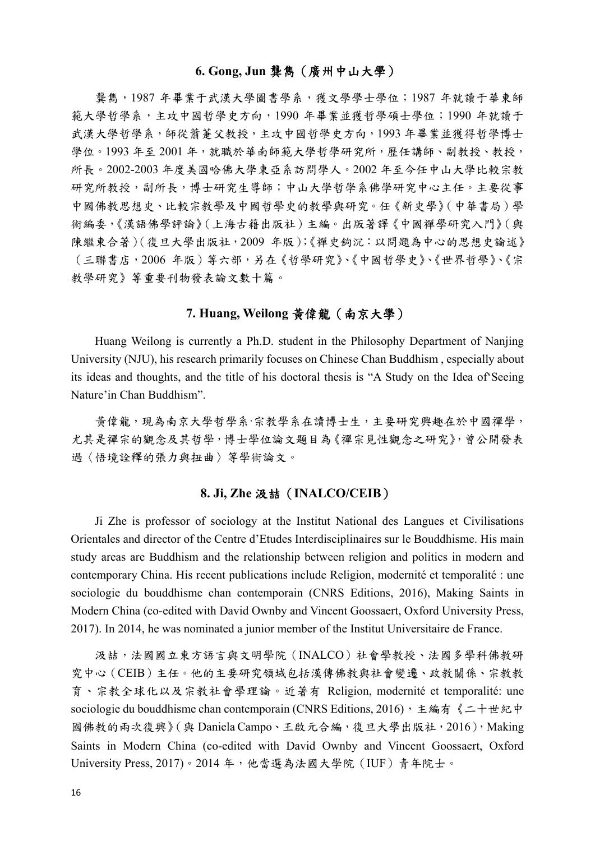### **6. Gong, Jun** 龔雋(廣州中山大學)

龔雋,1987 年畢業于武漢大學圖書學系,獲文學學士學位;1987 年就讀于華東師 範大學哲學系,主攻中國哲學史方向,1990 年畢業並獲哲學碩士學位;1990 年就讀于 武漢大學哲學系,師從蕭葦父教授,主攻中國哲學史方向,1993年畢業並獲得哲學博士 學位。1993年至 2001年,就職於華南師範大學哲學研究所,歷任講師、副教授、教授, 所長。2002-2003 年度美國哈佛大學東亞系訪問學人。2002 年至今任中山大學比較宗教 研究所教授,副所長,博士研究生導師;中山大學哲學系佛學研究中心主任。主要從事 中國佛教思想史、比較宗教學及中國哲學史的教學與研究。任《新史學》(中華書局)學 術編委,《漢語佛學評論》(上海古籍出版社)主編。出版著譯《中國禪學研究入門》(與 陳繼東合著)(復旦大學出版社,2009 年版);《禪史鉤沉:以問題為中心的思想史論述》 (三聯書店,2006 年版)等六部,另在《哲學研究》、《中國哲學史》、《世界哲學》、《宗 教學研究》等重要刊物發表論文數十篇。

## **7. Huang, Weilong** 黃偉龍(南京大學)

Huang Weilong is currently a Ph.D. student in the Philosophy Department of Nanjing University (NJU), his research primarily focuses on Chinese Chan Buddhism , especially about its ideas and thoughts, and the title of his doctoral thesis is "A Study on the Idea of'Seeing Nature'in Chan Buddhism".

黃偉龍,現為南京大學哲學系·宗教學系在讀博士生,主要研究興趣在於中國禪學, 尤其是禪宗的觀念及其哲學,博士學位論文題目為《禪宗見性觀念之研究》,曾公開發表 過〈悟境詮釋的張力與扭曲〉等學術論文。

### **8. Ji, Zhe** 汲喆(**INALCO/CEIB**)

Ji Zhe is professor of sociology at the Institut National des Langues et Civilisations Orientales and director of the Centre d'Etudes Interdisciplinaires sur le Bouddhisme. His main study areas are Buddhism and the relationship between religion and politics in modern and contemporary China. His recent publications include Religion, modernité et temporalité : une sociologie du bouddhisme chan contemporain (CNRS Editions, 2016), Making Saints in Modern China (co-edited with David Ownby and Vincent Goossaert, Oxford University Press, 2017). In 2014, he was nominated a junior member of the Institut Universitaire de France.

汲喆,法國國立東方語言與文明學院(INALCO)社會學教授、法國多學科佛教研 究中心(CEIB)主任。他的主要研究領域包括漢傳佛教與社會變遷、政教關係、宗教教 育、宗教全球化以及宗教社會學理論。近著有 Religion, modernité et temporalité: une sociologie du bouddhisme chan contemporain (CNRS Editions, 2016), 主編有《二十世紀中 國佛教的兩次復興》(與 Daniela Campo、王啟元合編,復旦大學出版社,2016),Making Saints in Modern China (co-edited with David Ownby and Vincent Goossaert, Oxford University Press, 2017)。2014 年,他當選為法國大學院(IUF)青年院士。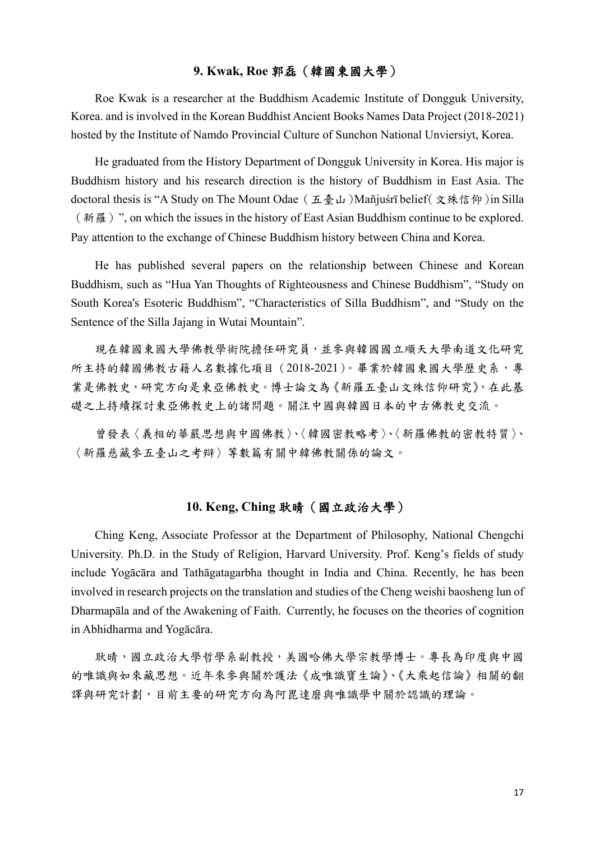## **9. Kwak, Roe** 郭磊(韓國東國大學)

Roe Kwak is a researcher at the Buddhism Academic Institute of Dongguk University, Korea. and is involved in the Korean Buddhist Ancient Books Names Data Project (2018-2021) hosted by the Institute of Namdo Provincial Culture of Sunchon National Unviersiyt, Korea.

He graduated from the History Department of Dongguk University in Korea. His major is Buddhism history and his research direction is the history of Buddhism in East Asia. The doctoral thesis is "A Study on The Mount Odae(五臺山)Mañjuśrī belief(文殊信仰)in Silla (新羅)", on which the issues in the history of East Asian Buddhism continue to be explored. Pay attention to the exchange of Chinese Buddhism history between China and Korea.

He has published several papers on the relationship between Chinese and Korean Buddhism, such as "Hua Yan Thoughts of Righteousness and Chinese Buddhism", "Study on South Korea's Esoteric Buddhism", "Characteristics of Silla Buddhism", and "Study on the Sentence of the Silla Jajang in Wutai Mountain".

現在韓國東國大學佛教學術院擔任研究員,並參與韓國國立順天大學南道文化研究 所主持的韓國佛教古籍人名數據化項目 (2018-2021)。畢業於韓國東國大學歷史系,專 業是佛教史,研究方向是東亞佛教史。博士論文為《新羅五臺山文殊信仰研究》,在此基 礎之上持續探討東亞佛教史上的諸問題。關注中國與韓國日本的中古佛教史交流。

曾發表〈義相的華嚴思想與中國佛教〉、〈韓國密教略考〉、〈新羅佛教的密教特質〉、 〈新羅慈藏參五臺山之考辯〉等數篇有關中韓佛教關係的論文。

### **10. Keng, Ching** 耿晴(國立政治大學)

Ching Keng, Associate Professor at the Department of Philosophy, National Chengchi University. Ph.D. in the Study of Religion, Harvard University. Prof. Keng's fields of study include Yogācāra and Tathāgatagarbha thought in India and China. Recently, he has been involved in research projects on the translation and studies of the Cheng weishi baosheng lun of Dharmapāla and of the Awakening of Faith.  Currently, he focuses on the theories of cognition in Abhidharma and Yogācāra.

耿晴,國立政治大學哲學系副教授,美國哈佛大學宗教學博士。專長為印度與中國 的唯識與如來藏思想。近年來參與關於護法《成唯識寶生論》、《大乘起信論》相關的翻 譯與研究計劃,目前主要的研究方向為阿毘達磨與唯識學中關於認識的理論。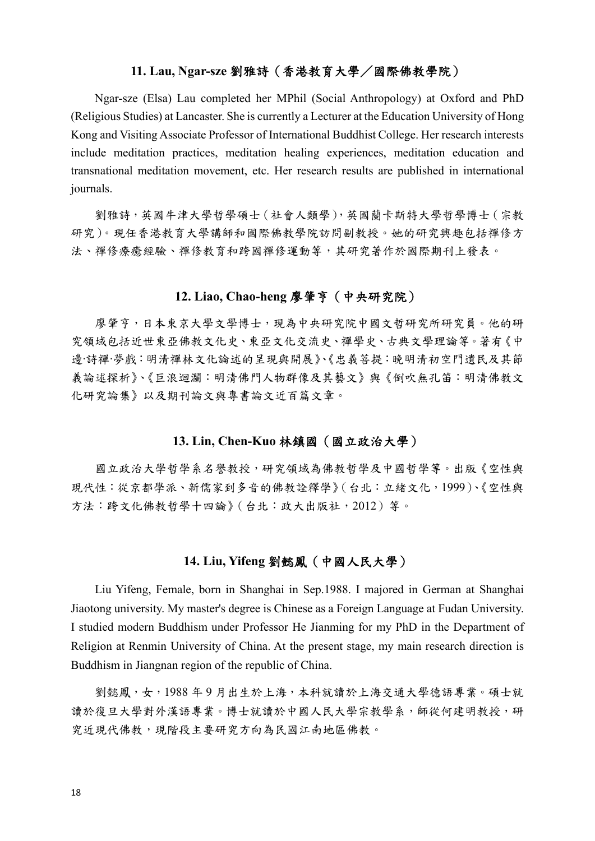### **11. Lau, Ngar-sze** 劉雅詩(香港教育大學/國際佛教學院)

Ngar-sze (Elsa) Lau completed her MPhil (Social Anthropology) at Oxford and PhD (Religious Studies) at Lancaster. She is currently a Lecturer at the Education University of Hong Kong and Visiting Associate Professor of International Buddhist College. Her research interests include meditation practices, meditation healing experiences, meditation education and transnational meditation movement, etc. Her research results are published in international journals.

劉雅詩,英國牛津大學哲學碩士(社會人類學),英國蘭卡斯特大學哲學博士(宗教 研究)。現任香港教育大學講師和國際佛教學院訪問副教授。她的研究興趣包括禪修方 法、禪修療癒經驗、禪修教育和跨國禪修運動等,其研究著作於國際期刊上發表。

## **12. Liao, Chao-heng** 廖肇亨(中央研究院)

廖肇亨,日本東京大學文學博士,現為中央研究院中國文哲研究所研究員。他的研 究領域包括近世東亞佛教文化史、東亞文化交流史、禪學史、古典文學理論等。著有《中 邊‧詩禪‧夢戲:明清禪林文化論述的呈現與開展》、《忠義菩提:晚明清初空門遺民及其節 義論述探析》、《巨浪迴瀾:明清佛門人物群像及其藝文》與《倒吹無孔笛:明清佛教文 化研究論集》以及期刊論文與專書論文近百篇文章。

#### **13. Lin, Chen-Kuo** 林鎮國(國立政治大學)

國立政治大學哲學系名譽教授,研究領域為佛教哲學及中國哲學等。出版《空性與 現代性:從京都學派、新儒家到多音的佛教詮釋學》(台北:立緒文化,1999)、《空性與 方法:跨文化佛教哲學十四論》(台北:政大出版社,2012)等。

### **14. Liu, Yifeng** 劉懿鳳(中國人民大學)

Liu Yifeng, Female, born in Shanghai in Sep.1988. I majored in German at Shanghai Jiaotong university. My master's degree is Chinese as a Foreign Language at Fudan University. I studied modern Buddhism under Professor He Jianming for my PhD in the Department of Religion at Renmin University of China. At the present stage, my main research direction is Buddhism in Jiangnan region of the republic of China.

劉懿鳳,女,1988年9月出生於上海,本科就讀於上海交通大學德語專業。碩士就 讀於復旦大學對外漢語專業。博士就讀於中國人民大學宗教學系,師從何建明教授,研 究近現代佛教,現階段主要研究方向為民國江南地區佛教。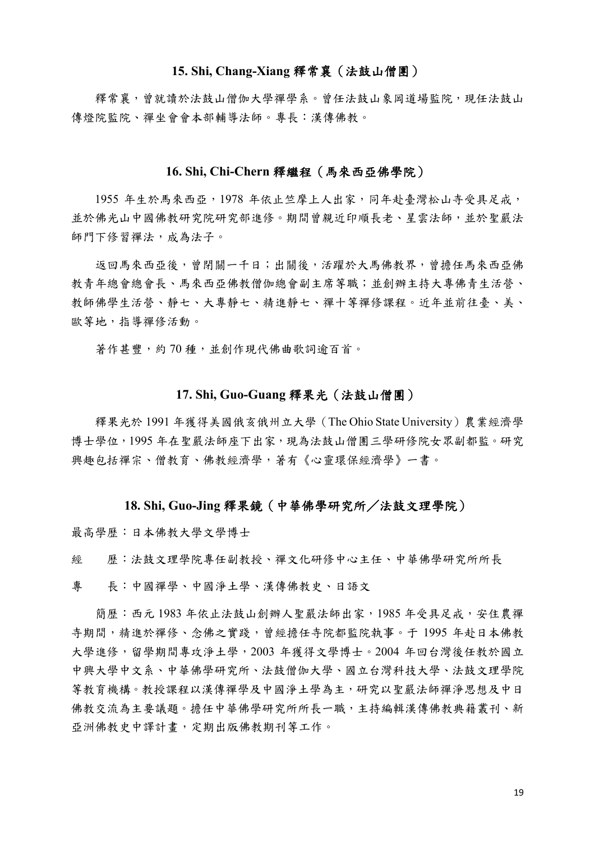#### **15. Shi, Chang-Xiang** 釋常襄(法鼓山僧團)

釋常襄,曾就讀於法鼓山僧伽大學禪學系。曾任法鼓山象岡道場監院,現任法鼓山 傳燈院監院、禪坐會會本部輔導法師。專長:漢傳佛教。

#### **16. Shi, Chi-Chern** 釋繼程(馬來西亞佛學院)

1955 年生於馬來西亞,1978 年依止竺摩上人出家,同年赴臺灣松山寺受具足戒, 並於佛光山中國佛教研究院研究部進修。期間曾親近印順長老、星雲法師,並於聖嚴法 師門下修習禪法,成為法子。

返回馬來西亞後,曾閉關一千日;出關後,活躍於大馬佛教界,曾擔任馬來西亞佛 教青年總會總會長、馬來西亞佛教僧伽總會副主席等職;並創辦主持大專佛青生活營、 教師佛學生活營、靜七、大專靜七、精進靜七、禪十等禪修課程。近年並前往臺、美、 歐等地,指導禪修活動。

著作甚豐,約70種,並創作現代佛曲歌詞逾百首。

### **17. Shi, Guo-Guang** 釋果光(法鼓山僧團)

釋果光於 1991 年獲得美國俄亥俄州立大學(The Ohio State University)農業經濟學 博士學位,1995年在聖嚴法師座下出家,現為法鼓山僧團三學研修院女眾副都監。研究 興趣包括禪宗、僧教育、佛教經濟學,著有《心靈環保經濟學》一書。

#### **18. Shi, Guo-Jing** 釋果鏡(中華佛學研究所/法鼓文理學院)

最高學歷:日本佛教大學文學博士

經 歷:法鼓文理學院專任副教授、禪文化研修中心主任、中華佛學研究所所長

專 長:中國禪學、中國淨土學、漢傳佛教史、日語文

簡歷:西元 1983 年依止法鼓山創辦人聖嚴法師出家, 1985 年受具足戒,安住農禪 寺期間,精進於禪修、念佛之實踐,曾經擔任寺院都監院執事。于 1995 年赴日本佛教 大學進修,留學期間專攻淨土學,2003 年獲得文學博士。2004 年回台灣後任教於國立 中興大學中文系、中華佛學研究所、法鼓僧伽大學、國立台灣科技大學、法鼓文理學院 等教育機構。教授課程以漢傳禪學及中國淨土學為主,研究以聖嚴法師禪淨思想及中日 佛教交流為主要議題。擔任中華佛學研究所所長一職,主持編輯漢傳佛教典籍叢刊、新 亞洲佛教史中譯計畫,定期出版佛教期刊等工作。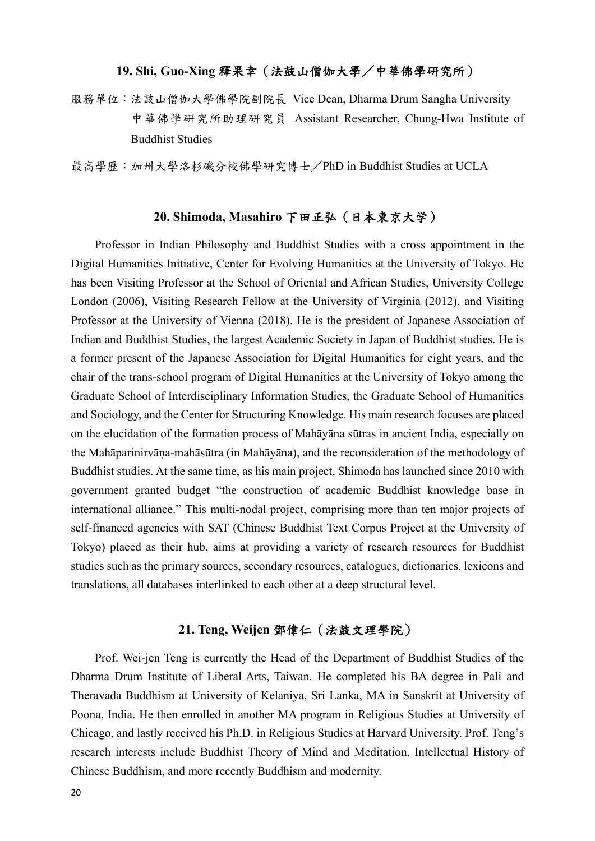### **19. Shi, Guo-Xing** 釋果幸(法鼓山僧伽大學/中華佛學研究所)

服務單位:法鼓山僧伽大學佛學院副院長 Vice Dean, Dharma Drum Sangha University 中華佛學研究所助理研究員 Assistant Researcher, Chung-Hwa Institute of Buddhist Studies

最高學歷:加州大學洛杉磯分校佛學研究博士/PhD in Buddhist Studies at UCLA

### **20. Shimoda, Masahiro** 下田正弘(日本東京大学)

Professor in Indian Philosophy and Buddhist Studies with a cross appointment in the Digital Humanities Initiative, Center for Evolving Humanities at the University of Tokyo. He has been Visiting Professor at the School of Oriental and African Studies, University College London (2006), Visiting Research Fellow at the University of Virginia (2012), and Visiting Professor at the University of Vienna (2018). He is the president of Japanese Association of Indian and Buddhist Studies, the largest Academic Society in Japan of Buddhist studies. He is a former present of the Japanese Association for Digital Humanities for eight years, and the chair of the trans-school program of Digital Humanities at the University of Tokyo among the Graduate School of Interdisciplinary Information Studies, the Graduate School of Humanities and Sociology, and the Center for Structuring Knowledge. His main research focuses are placed on the elucidation of the formation process of Mahāyāna sūtras in ancient India, especially on the Mahāparinirvāṇa-mahāsūtra (in Mahāyāna), and the reconsideration of the methodology of Buddhist studies. At the same time, as his main project, Shimoda has launched since 2010 with government granted budget "the construction of academic Buddhist knowledge base in international alliance." This multi-nodal project, comprising more than ten major projects of self-financed agencies with SAT (Chinese Buddhist Text Corpus Project at the University of Tokyo) placed as their hub, aims at providing a variety of research resources for Buddhist studies such as the primary sources, secondary resources, catalogues, dictionaries, lexicons and translations, all databases interlinked to each other at a deep structural level.

## **21. Teng, Weijen** 鄧偉仁(法鼓文理學院)

Prof. Wei-jen Teng is currently the Head of the Department of Buddhist Studies of the Dharma Drum Institute of Liberal Arts, Taiwan. He completed his BA degree in Pali and Theravada Buddhism at University of Kelaniya, Sri Lanka, MA in Sanskrit at University of Poona, India. He then enrolled in another MA program in Religious Studies at University of Chicago, and lastly received his Ph.D. in Religious Studies at Harvard University. Prof. Teng's research interests include Buddhist Theory of Mind and Meditation, Intellectual History of Chinese Buddhism, and more recently Buddhism and modernity.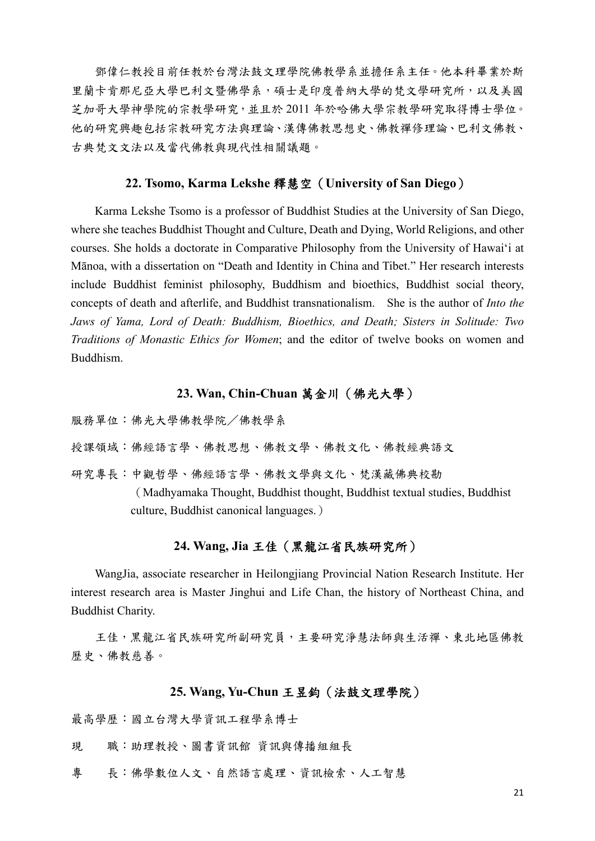鄧偉仁教授目前任教於台灣法鼓文理學院佛教學系並擔任系主任。他本科畢業於斯 里蘭卡肯那尼亞大學巴利文暨佛學系,碩士是印度普納大學的梵文學研究所,以及美國 芝加哥大學神學院的宗教學研究,並且於 2011 年於哈佛大學宗教學研究取得博士學位。 他的研究興趣包括宗教研究方法與理論、漢傳佛教思想史、佛教禪修理論、巴利文佛教、 古典梵文文法以及當代佛教與現代性相關議題。

#### **22. Tsomo, Karma Lekshe** 釋慧空(**University of San Diego**)

Karma Lekshe Tsomo is a professor of Buddhist Studies at the University of San Diego, where she teaches Buddhist Thought and Culture, Death and Dying, World Religions, and other courses. She holds a doctorate in Comparative Philosophy from the University of Hawai'i at Mānoa, with a dissertation on "Death and Identity in China and Tibet." Her research interests include Buddhist feminist philosophy, Buddhism and bioethics, Buddhist social theory, concepts of death and afterlife, and Buddhist transnationalism. She is the author of *Into the Jaws of Yama, Lord of Death: Buddhism, Bioethics, and Death; Sisters in Solitude: Two Traditions of Monastic Ethics for Women*; and the editor of twelve books on women and Buddhism.

### **23. Wan, Chin-Chuan** 萬金川(佛光大學)

服務單位:佛光大學佛教學院/佛教學系 授課領域:佛經語言學、佛教思想、佛教文學、佛教文化、佛教經典語文 研究專長:中觀哲學、佛經語言學、佛教文學與文化、梵漢藏佛典校勘 (Madhyamaka Thought, Buddhist thought, Buddhist textual studies, Buddhist culture, Buddhist canonical languages.)

## **24. Wang, Jia** 王佳(黑龍江省民族研究所)

WangJia, associate researcher in Heilongjiang Provincial Nation Research Institute. Her interest research area is Master Jinghui and Life Chan, the history of Northeast China, and Buddhist Charity.

王佳,黑龍江省民族研究所副研究員,主要研究淨慧法師與生活禪、東北地區佛教 歷史、佛教慈善。

#### **25. Wang, Yu-Chun** 王昱鈞(法鼓文理學院)

最高學歷:國立台灣大學資訊工程學系博士

- 現 職:助理教授、圖書資訊館 資訊與傳播組組長
- 專 長:佛學數位人文、自然語言處理、資訊檢索、人工智慧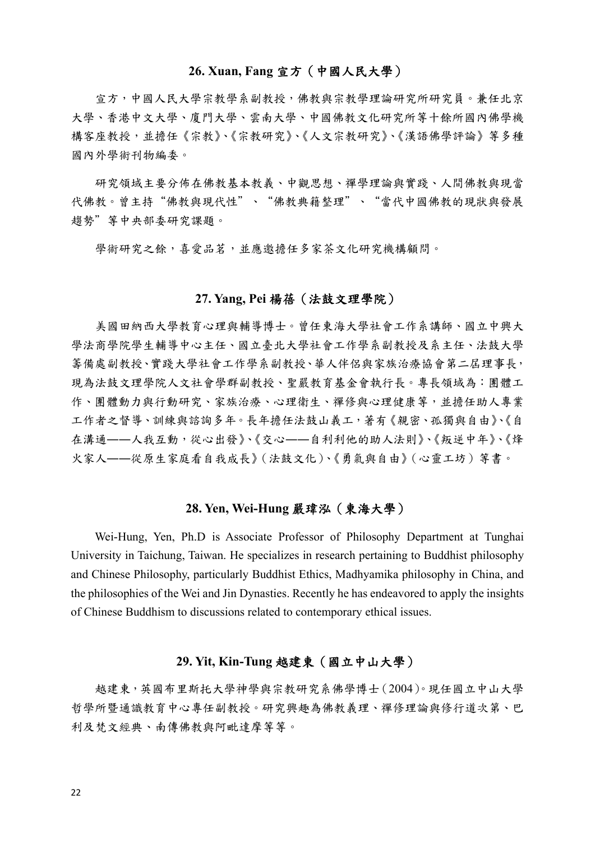#### **26. Xuan, Fang** 宣方(中國人民大學)

宣方,中國人民大學宗教學系副教授,佛教與宗教學理論研究所研究員。兼任北京 大學、香港中文大學、廈門大學、雲南大學、中國佛教文化研究所等十餘所國內佛學機 構客座教授,並擔任《宗教》、《宗教研究》、《漢語佛學評論》等多種 國內外學術刊物編委。

研究領域主要分佈在佛教基本教義、中觀思想、禪學理論與實踐、人間佛教與現當 代佛教。曾主持"佛教與現代性"、"佛教典籍整理"、"當代中國佛教的現狀與發展 趨勢"等中央部委研究課題。

學術研究之餘,喜愛品茗,並應邀擔任多家茶文化研究機構顧問。

#### **27. Yang, Pei** 楊蓓(法鼓文理學院)

美國田納西大學教育心理與輔導博士。曾任東海大學社會工作系講師、國立中興大 學法商學院學生輔導中心主任、國立臺北大學社會工作學系副教授及系主任、法鼓大學 籌備處副教授、實踐大學社會工作學系副教授、華人伴侶與家族治療協會第二屆理事長, 現為法鼓文理學院人文社會學群副教授、聖嚴教育基金會執行長。專長領域為:團體工 作、團體動力與行動研究、家族治療、心理衛生、禪修與心理健康等,並擔任助人專業 工作者之督導、訓練與諮詢多年。長年擔任法鼓山義工,著有《親密、孤獨與自由》、《自 在溝通––人我互動,從心出發》、《交心––自利利他的助人法則》、《叛逆中年》、《烽 火家人――從原生家庭看自我成長》(法鼓文化)、《勇氣與自由》(心靈工坊)等書。

## **28. Yen, Wei-Hung** 嚴瑋泓(東海大學)

Wei-Hung, Yen, Ph.D is Associate Professor of Philosophy Department at Tunghai University in Taichung, Taiwan. He specializes in research pertaining to Buddhist philosophy and Chinese Philosophy, particularly Buddhist Ethics, Madhyamika philosophy in China, and the philosophies of the Wei and Jin Dynasties. Recently he has endeavored to apply the insights of Chinese Buddhism to discussions related to contemporary ethical issues.

#### **29. Yit, Kin-Tung** 越建東(國立中山大學)

越建東,英國布里斯托大學神學與宗教研究系佛學博士(2004)。現任國立中山大學 哲學所暨通識教育中心專任副教授。研究興趣為佛教義理、禪修理論與修行道次第、巴 利及梵文經典、南傳佛教與阿毗達摩等等。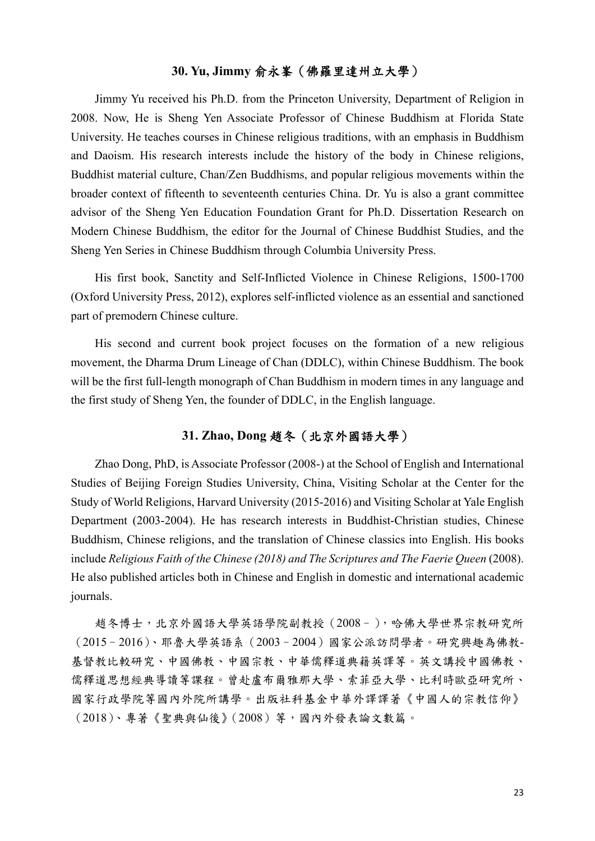## **30. Yu, Jimmy** 俞永峯(佛羅里達州立大學)

Jimmy Yu received his Ph.D. from the Princeton University, Department of Religion in 2008. Now, He is Sheng Yen Associate Professor of Chinese Buddhism at Florida State University. He teaches courses in Chinese religious traditions, with an emphasis in Buddhism and Daoism. His research interests include the history of the body in Chinese religions, Buddhist material culture, Chan/Zen Buddhisms, and popular religious movements within the broader context of fifteenth to seventeenth centuries China. Dr. Yu is also a grant committee advisor of the Sheng Yen Education Foundation Grant for Ph.D. Dissertation Research on Modern Chinese Buddhism, the editor for the Journal of Chinese Buddhist Studies, and the Sheng Yen Series in Chinese Buddhism through Columbia University Press.

His first book, Sanctity and Self-Inflicted Violence in Chinese Religions, 1500-1700 (Oxford University Press, 2012), explores self-inflicted violence as an essential and sanctioned part of premodern Chinese culture.

His second and current book project focuses on the formation of a new religious movement, the Dharma Drum Lineage of Chan (DDLC), within Chinese Buddhism. The book will be the first full-length monograph of Chan Buddhism in modern times in any language and the first study of Sheng Yen, the founder of DDLC, in the English language.

## **31. Zhao, Dong** 趙冬(北京外國語大學)

Zhao Dong, PhD, is Associate Professor (2008-) at the School of English and International Studies of Beijing Foreign Studies University, China, Visiting Scholar at the Center for the Study of World Religions, Harvard University (2015-2016) and Visiting Scholar at Yale English Department (2003-2004). He has research interests in Buddhist-Christian studies, Chinese Buddhism, Chinese religions, and the translation of Chinese classics into English. His books include *Religious Faith of the Chinese (2018) and The Scriptures and The Faerie Queen* (2008). He also published articles both in Chinese and English in domestic and international academic journals.

趙冬博士,北京外國語大學英語學院副教授(2008–),哈佛大學世界宗教研究所 (2015–2016)、耶魯大學英語系(2003–2004)國家公派訪問學者。研究興趣為佛教-基督教比較研究、中國佛教、中國宗教、中華儒釋道典籍英譯等。英文講授中國佛教、 儒釋道思想經典導讀等課程。曾赴盧布爾雅那大學、索菲亞大學、比利時歐亞研究所、 國家行政學院等國內外院所講學。出版社科基金中華外譯譯著《中國人的宗教信仰》 (2018)、專著《聖典與仙後》(2008)等,國內外發表論文數篇。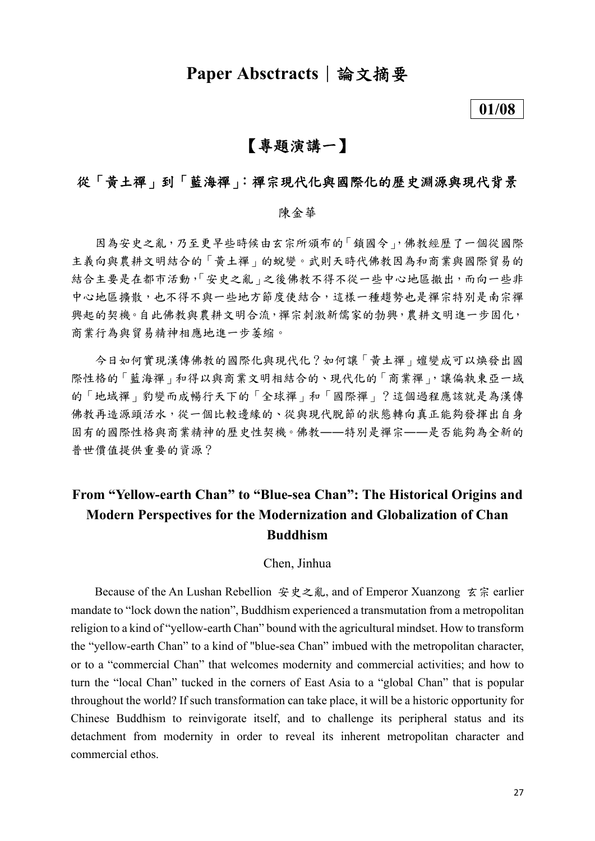## **Paper Absctracts** | 論文摘要

### **01/08**

## 【專題演講一】

## 從「黃土禪」到「藍海禪」:禪宗現代化與國際化的歷史淵源與現代背景

### 陳金華

因為安史之亂,乃至更早些時候由玄宗所頒布的「鎖國令」,佛教經歷了一個從國際 主義向與農耕文明結合的「黃土禪」的蛻變。武則天時代佛教因為和商業與國際貿易的 結合主要是在都市活動,「安史之亂」之後佛教不得不從一些中心地區撤出,而向一些非 中心地區擴散,也不得不與一些地方節度使結合,這樣一種趨勢也是禪宗特別是南宗禪 興起的契機。自此佛教與農耕文明合流,禪宗刺激新儒家的勃興,農耕文明進一步固化, 商業行為與貿易精神相應地進一步萎縮。

今日如何實現漢傳佛教的國際化與現代化?如何讓「黃土禪」嬗變成可以煥發出國 際性格的「藍海禪」和得以與商業文明相結合的、現代化的「商業禪」,讓偏執東亞一域 的「地域禪」豹變而成暢行天下的「全球禪」和「國際禪」?這個過程應該就是為漢傳 佛教再造源頭活水,從一個比較邊緣的、從與現代脫節的狀態轉向真正能夠發揮出自身 固有的國際性格與商業精神的歷史性契機。佛教――特別是禪宗――是否能夠為全新的 普世價值提供重要的資源?

## **From "Yellow-earth Chan" to "Blue-sea Chan": The Historical Origins and Modern Perspectives for the Modernization and Globalization of Chan Buddhism**

#### Chen, Jinhua

Because of the An Lushan Rebellion 安史之亂, and of Emperor Xuanzong 玄宗 earlier mandate to "lock down the nation", Buddhism experienced a transmutation from a metropolitan religion to a kind of "yellow-earth Chan" bound with the agricultural mindset. How to transform the "yellow-earth Chan" to a kind of "blue-sea Chan" imbued with the metropolitan character, or to a "commercial Chan" that welcomes modernity and commercial activities; and how to turn the "local Chan" tucked in the corners of East Asia to a "global Chan" that is popular throughout the world? If such transformation can take place, it will be a historic opportunity for Chinese Buddhism to reinvigorate itself, and to challenge its peripheral status and its detachment from modernity in order to reveal its inherent metropolitan character and commercial ethos.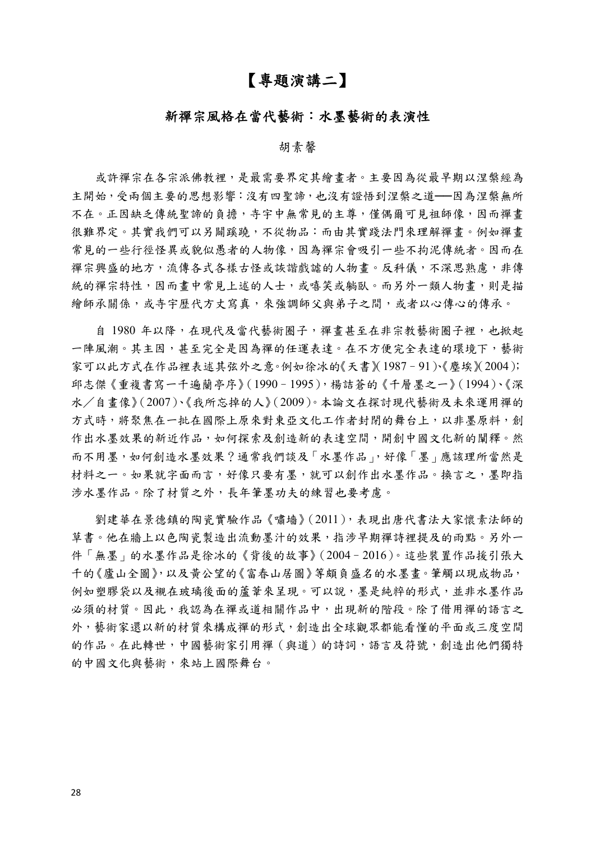## 【專題演講二】

### 新禪宗風格在當代藝術:水墨藝術的表演性

#### 胡素馨

或許禪宗在各宗派佛教裡,是最需要界定其繪畫者。主要因為從最早期以涅槃經為 主開始,受兩個主要的思想影響:沒有四聖諦,也沒有證悟到涅槃之道——因為涅槃無所 不在。正因缺乏傳統聖諦的負擔,寺宇中無常見的主尊,僅偶爾可見祖師像,因而禪書 很難界定。其實我們可以另闢蹊蹺,不從物品:而由其實踐法門來理解禪書。例如禪書 常見的一些行徑怪異或貌似愚者的人物像,因為禪宗會吸引一些不拘泥傳統者。因而在 禪宗興盛的地方,流傳各式各樣古怪或談諧戲謔的人物書。反科儀,不深思熟慮,非傳 統的禪宗特性,因而畫中常見上述的人士,或嘻笑或躺臥。而另外一類人物畫,則是描 繪師承關係,或寺宇歷代方丈寫真,來強調師父與弟子之間,或者以心傳心的傳承。

自 1980 年以降,在現代及當代藝術圈子,禪畫甚至在非宗教藝術圈子裡,也掀起 一陣風潮。其主因,甚至完全是因為禪的任運表達。在不方便完全表達的環境下,藝術 家可以此方式在作品裡表述其弦外之意。例如徐冰的《天書》(1987–91)、《塵埃》(2004); 邱志傑《重複書寫一千遍蘭亭序》(1990–1995),楊詰蒼的《千層墨之一》(1994)、《深 水/自畫像》(2007)、《我所忘掉的人》(2009)。本論文在探討現代藝術及未來運用禪的 方式時,將聚焦在一批在國際上原來對東亞文化工作者封閉的舞台上,以非墨原料,創 作出水墨效果的新近作品,如何探索及創造新的表達空間,開創中國文化新的闡釋。然 而不用墨,如何創造水墨效果?通常我們談及「水墨作品」,好像「墨」應該理所當然是 材料之一。如果就字面而言,好像只要有墨,就可以創作出水墨作品。換言之,墨即指 涉水墨作品。除了材質之外,長年筆墨功夫的練習也要考慮。

劉建華在景德鎮的陶瓷實驗作品《嘯墻》(2011),表現出唐代書法大家懷素法師的 草書。他在牆上以色陶瓷製造出流動墨汁的效果,指涉早期禪詩裡提及的雨點。另外一 件「無墨」的水墨作品是徐冰的《背後的故事》(2004–2016)。這些裝置作品援引張大 千的《廬山全圖》,以及黃公望的《富春山居圖》等頗負盛名的水墨畫。筆觸以現成物品, 例如塑膠袋以及襯在玻璃後面的蘆葦來呈現。可以說,墨是純粹的形式,並非水墨作品 必須的材質。因此,我認為在禪或道相關作品中,出現新的階段。除了借用禪的語言之 外,藝術家還以新的材質來構成禪的形式,創造出全球觀眾都能看懂的平面或三度空間 的作品。在此轉世,中國藝術家引用禪(與道)的詩詞,語言及符號,創造出他們獨特 的中國文化與藝術,來站上國際舞台。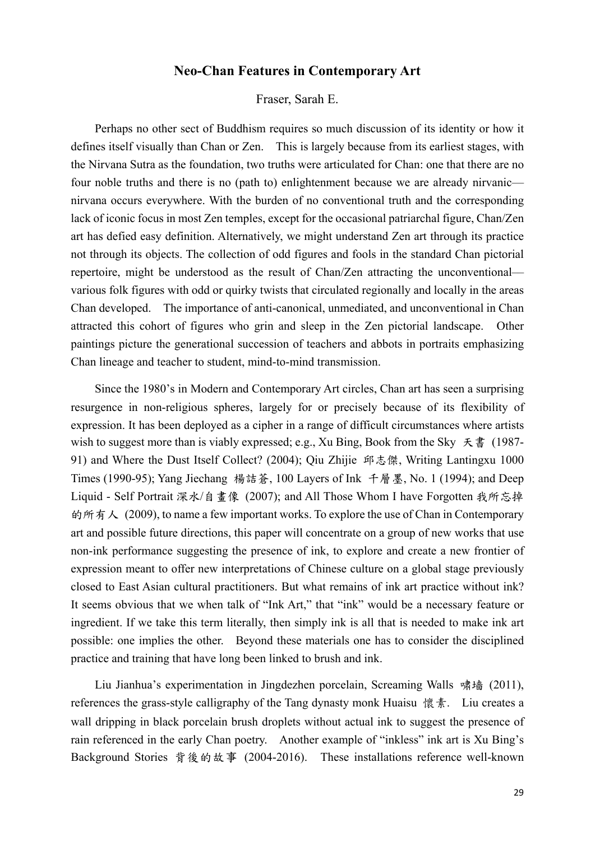## **Neo-Chan Features in Contemporary Art**

Fraser, Sarah E.

Perhaps no other sect of Buddhism requires so much discussion of its identity or how it defines itself visually than Chan or Zen. This is largely because from its earliest stages, with the Nirvana Sutra as the foundation, two truths were articulated for Chan: one that there are no four noble truths and there is no (path to) enlightenment because we are already nirvanic nirvana occurs everywhere. With the burden of no conventional truth and the corresponding lack of iconic focus in most Zen temples, except for the occasional patriarchal figure, Chan/Zen art has defied easy definition. Alternatively, we might understand Zen art through its practice not through its objects. The collection of odd figures and fools in the standard Chan pictorial repertoire, might be understood as the result of Chan/Zen attracting the unconventional–– various folk figures with odd or quirky twists that circulated regionally and locally in the areas Chan developed. The importance of anti-canonical, unmediated, and unconventional in Chan attracted this cohort of figures who grin and sleep in the Zen pictorial landscape. Other paintings picture the generational succession of teachers and abbots in portraits emphasizing Chan lineage and teacher to student, mind-to-mind transmission.

Since the 1980's in Modern and Contemporary Art circles, Chan art has seen a surprising resurgence in non-religious spheres, largely for or precisely because of its flexibility of expression. It has been deployed as a cipher in a range of difficult circumstances where artists wish to suggest more than is viably expressed; e.g., Xu Bing, Book from the Sky  $\bar{\mathcal{F}}$   $\ddot{\mathcal{F}}$  (1987-91) and Where the Dust Itself Collect? (2004); Qiu Zhijie 邱志傑, Writing Lantingxu 1000 Times (1990-95); Yang Jiechang 楊詰蒼, 100 Layers of Ink 千層墨, No. 1 (1994); and Deep Liquid - Self Portrait 深水/自畫像 (2007); and All Those Whom I have Forgotten 我所忘掉 的所有人 (2009), to name a few important works. To explore the use of Chan in Contemporary art and possible future directions, this paper will concentrate on a group of new works that use non-ink performance suggesting the presence of ink, to explore and create a new frontier of expression meant to offer new interpretations of Chinese culture on a global stage previously closed to East Asian cultural practitioners. But what remains of ink art practice without ink? It seems obvious that we when talk of "Ink Art," that "ink" would be a necessary feature or ingredient. If we take this term literally, then simply ink is all that is needed to make ink art possible: one implies the other. Beyond these materials one has to consider the disciplined practice and training that have long been linked to brush and ink.

Liu Jianhua's experimentation in Jingdezhen porcelain, Screaming Walls 啸墙 (2011), references the grass-style calligraphy of the Tang dynasty monk Huaisu 懷素. Liu creates a wall dripping in black porcelain brush droplets without actual ink to suggest the presence of rain referenced in the early Chan poetry. Another example of "inkless" ink art is Xu Bing's Background Stories 背後的故事 (2004-2016). These installations reference well-known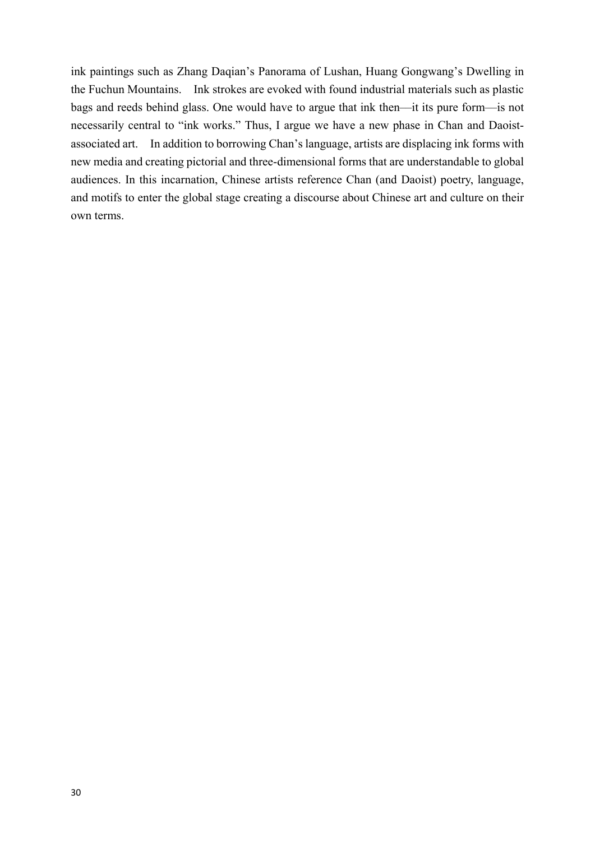ink paintings such as Zhang Daqian's Panorama of Lushan, Huang Gongwang's Dwelling in the Fuchun Mountains. Ink strokes are evoked with found industrial materials such as plastic bags and reeds behind glass. One would have to argue that ink then––it its pure form––is not necessarily central to "ink works." Thus, I argue we have a new phase in Chan and Daoistassociated art. In addition to borrowing Chan's language, artists are displacing ink forms with new media and creating pictorial and three-dimensional forms that are understandable to global audiences. In this incarnation, Chinese artists reference Chan (and Daoist) poetry, language, and motifs to enter the global stage creating a discourse about Chinese art and culture on their own terms.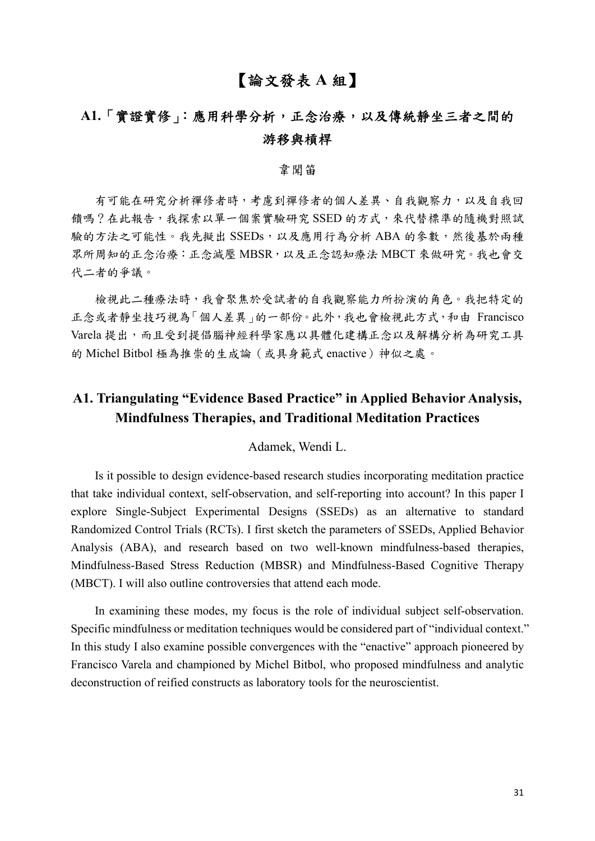## 【論文發表 **A** 組】

## **A1.**「實證實修」:應用科學分析,正念治療,以及傳統靜坐三者之間的 游移與槓桿

## 韋聞笛

有可能在研究分析禪修者時,考慮到禪修者的個人差異、自我觀察力,以及自我回 饋嗎?在此報告,我探索以單一個案實驗研究 SSED 的方式,來代替標準的隨機對照試 驗的方法之可能性。我先擬出 SSEDs,以及應用行為分析 ABA 的參數,然後基於兩種 眾所周知的正念治療:正念減壓 MBSR,以及正念認知療法 MBCT 來做研究。我也會交 代二者的爭議。

檢視此二種療法時,我會聚焦於受試者的自我觀察能力所扮演的角色。我把特定的 正念或者靜坐技巧視為「個人差異」的一部份。此外,我也會檢視此方式,和由 Francisco Varela 提出,而且受到提倡腦神經科學家應以具體化建構正念以及解構分析為研究工具 的 Michel Bitbol 極為推崇的生成論(或具身範式 enactive)神似之處。

## **A1. Triangulating "Evidence Based Practice" in Applied Behavior Analysis, Mindfulness Therapies, and Traditional Meditation Practices**

#### Adamek, Wendi L.

Is it possible to design evidence-based research studies incorporating meditation practice that take individual context, self-observation, and self-reporting into account? In this paper I explore Single-Subject Experimental Designs (SSEDs) as an alternative to standard Randomized Control Trials (RCTs). I first sketch the parameters of SSEDs, Applied Behavior Analysis (ABA), and research based on two well-known mindfulness-based therapies, Mindfulness-Based Stress Reduction (MBSR) and Mindfulness-Based Cognitive Therapy (MBCT). I will also outline controversies that attend each mode.

In examining these modes, my focus is the role of individual subject self-observation. Specific mindfulness or meditation techniques would be considered part of "individual context." In this study I also examine possible convergences with the "enactive" approach pioneered by Francisco Varela and championed by Michel Bitbol, who proposed mindfulness and analytic deconstruction of reified constructs as laboratory tools for the neuroscientist.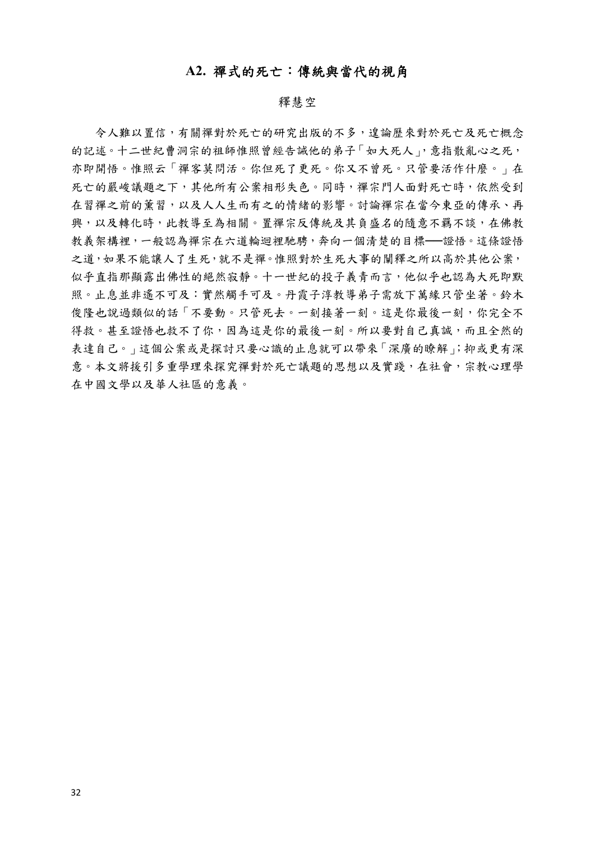## **A2.** 禪式的死亡:傳統與當代的視角

#### 釋慧空

令人難以置信,有關禪對於死亡的研究出版的不多,遑論歷來對於死亡及死亡概念 的記述。十二世紀曹洞宗的祖師惟照曾經告誡他的弟子「如大死人」,意指散亂心之死, 亦即開悟。惟照云「禪客莫問活。你但死了更死。你又不曾死。只管要活作什麼。」在 死亡的嚴峻議題之下,其他所有公案相形失色。同時,禪宗門人面對死亡時,依然受到 在習禪之前的薰習,以及人人生而有之的情緒的影響。討論禪宗在當今東亞的傳承、再 興,以及轉化時,此教導至為相關。置禪宗反傳統及其負盛名的隨意不羈不談,在佛教 教義架構裡,一般認為禪宗在六道輪迴裡馳騁,奔向一個清楚的目標──證悟。這條證悟 之道,如果不能讓人了生死,就不是禪。惟照對於生死大事的闡釋之所以高於其他公案, 似乎直指那顯露出佛性的絕然寂靜。十一世紀的投子義青而言,他似乎也認為大死即默 照。止息並非遙不可及:實然觸手可及。丹霞子淳教導弟子需放下萬緣只管坐著。鈴木 傻隆也說過類似的話「不要動。只管死去。一刻接著一刻。這是你最後一刻,你完全不 得救。甚至證悟也救不了你,因為這是你的最後一刻。所以要對自己真誠,而且全然的 表達自己。」這個公案或是探討只要心識的止息就可以帶來「深廣的瞭解」;抑或更有深 意。本文將援引多重學來探究禪對於死亡議題的思想以及實踐,在社會,宗教心理學 在中國文學以及華人社區的意義。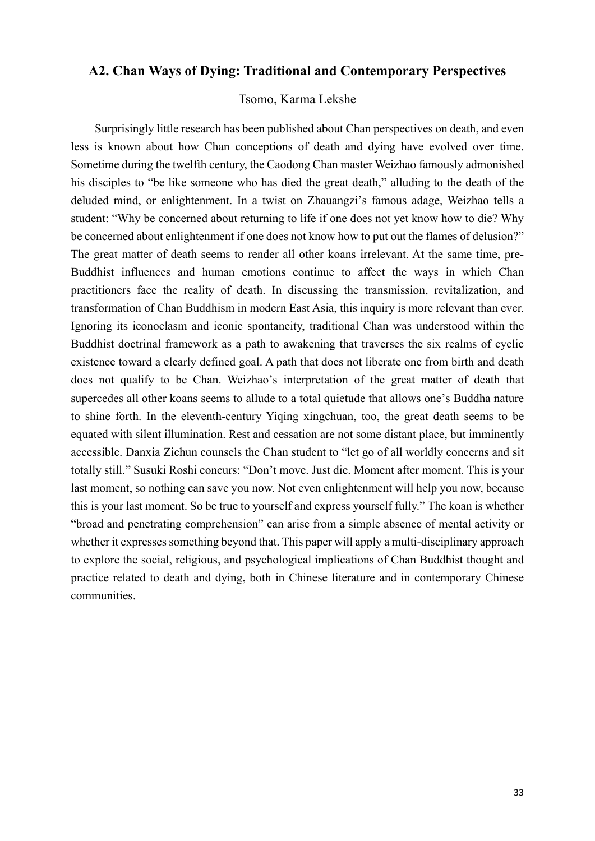## **A2. Chan Ways of Dying: Traditional and Contemporary Perspectives**

Tsomo, Karma Lekshe

Surprisingly little research has been published about Chan perspectives on death, and even less is known about how Chan conceptions of death and dying have evolved over time. Sometime during the twelfth century, the Caodong Chan master Weizhao famously admonished his disciples to "be like someone who has died the great death," alluding to the death of the deluded mind, or enlightenment. In a twist on Zhauangzi's famous adage, Weizhao tells a student: "Why be concerned about returning to life if one does not yet know how to die? Why be concerned about enlightenment if one does not know how to put out the flames of delusion?" The great matter of death seems to render all other koans irrelevant. At the same time, pre-Buddhist influences and human emotions continue to affect the ways in which Chan practitioners face the reality of death. In discussing the transmission, revitalization, and transformation of Chan Buddhism in modern East Asia, this inquiry is more relevant than ever. Ignoring its iconoclasm and iconic spontaneity, traditional Chan was understood within the Buddhist doctrinal framework as a path to awakening that traverses the six realms of cyclic existence toward a clearly defined goal. A path that does not liberate one from birth and death does not qualify to be Chan. Weizhao's interpretation of the great matter of death that supercedes all other koans seems to allude to a total quietude that allows one's Buddha nature to shine forth. In the eleventh-century Yiqing xingchuan, too, the great death seems to be equated with silent illumination. Rest and cessation are not some distant place, but imminently accessible. Danxia Zichun counsels the Chan student to "let go of all worldly concerns and sit totally still." Susuki Roshi concurs: "Don't move. Just die. Moment after moment. This is your last moment, so nothing can save you now. Not even enlightenment will help you now, because this is your last moment. So be true to yourself and express yourself fully." The koan is whether "broad and penetrating comprehension" can arise from a simple absence of mental activity or whether it expresses something beyond that. This paper will apply a multi-disciplinary approach to explore the social, religious, and psychological implications of Chan Buddhist thought and practice related to death and dying, both in Chinese literature and in contemporary Chinese communities.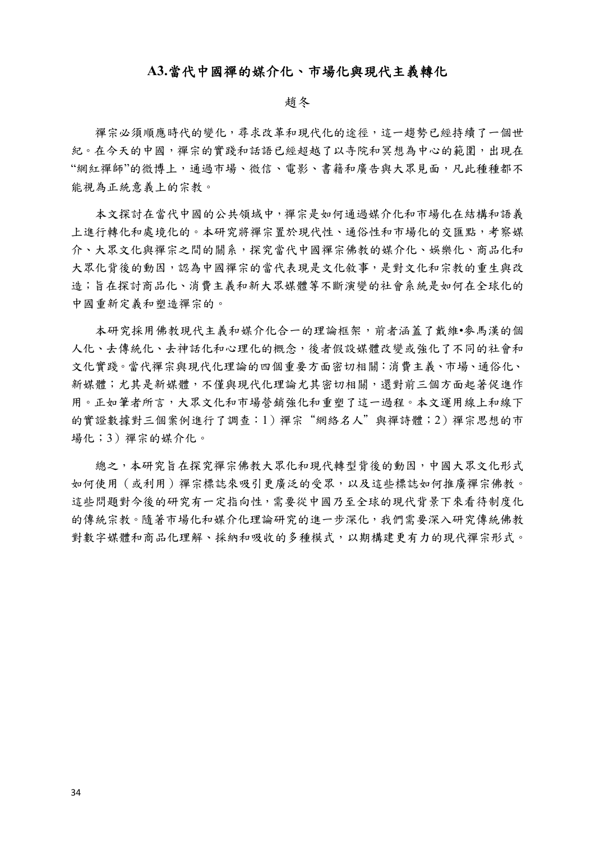### **A3.**當代中國禪的媒介化、市場化與現代主義轉化

#### 趙冬

禪宗必須順應時代的變化,尋求改革和現代化的途徑,這一趨勢已經持續了一個世 紀。在今天的中國,禪宗的實踐和話語已經超越了以寺院和冥想為中心的範圍,出現在 "網紅禪師"的微博上,通過市場、微信、電影、書籍和廣告與大眾見面,凡此種種都不 能視為正統意義上的宗教。

本文探討在當代中國的公共領域中,禪宗是如何通過媒介化和市場化在結構和語義 上進行轉化和處境化的。本研究將禪宗置於現代性、通俗性和市場化的交匯點,考察媒 介、大眾文化與禪宗之間的關系,探究當代中國禪宗佛教的媒介化、娛樂化、商品化和 大眾化背後的動因,認為中國禪宗的當代表現是文化敘事,是對文化和宗教的重生與改 造;旨在探討商品化、消費主義和新大眾媒體等不斷演變的社會系統是如何在全球化的 中國重新定義和塑造禪宗的。

本研究採用佛教現代主義和媒介化合一的理論框架,前者涵蓋了戴維•麥馬漢的個 人化、去傳統化、去神話化和心理化的概念,後者假設媒體改變或強化了不同的社會和 文化實踐。當代禪宗與現代化理論的四個重要方面密切相關:消費主義、市場、通俗化、 新媒體;尤其是新媒體,不僅與現代化理論尤其密切相關,還對前三個方面起著促進作 用。正如筆者所言,大眾文化和市場營銷強化和重塑了這一過程。本文運用線上和線下 的實證數據對三個案例進行了調查:1)禪宗"網絡名人"與禪詩體;2)禪宗思想的市 場化;3)禪宗的媒介化。

總之,本研究旨在探究禪宗佛教大眾化和現代轉型背後的動因,中國大眾文化形式 如何使用(或利用)禪宗標誌來吸引更廣泛的受眾,以及這些標誌如何推廣禪宗佛教。 這些問題對今後的研究有一定指向性,需要從中國乃至全球的現代背景下來看待制度化 的傳統宗教。隨著市場化和媒介化理論研究的進一步深化,我們需要深入研究傳統佛教 對數字媒體和商品化理解、採納和吸收的多種模式,以期構建更有力的現代禪宗形式。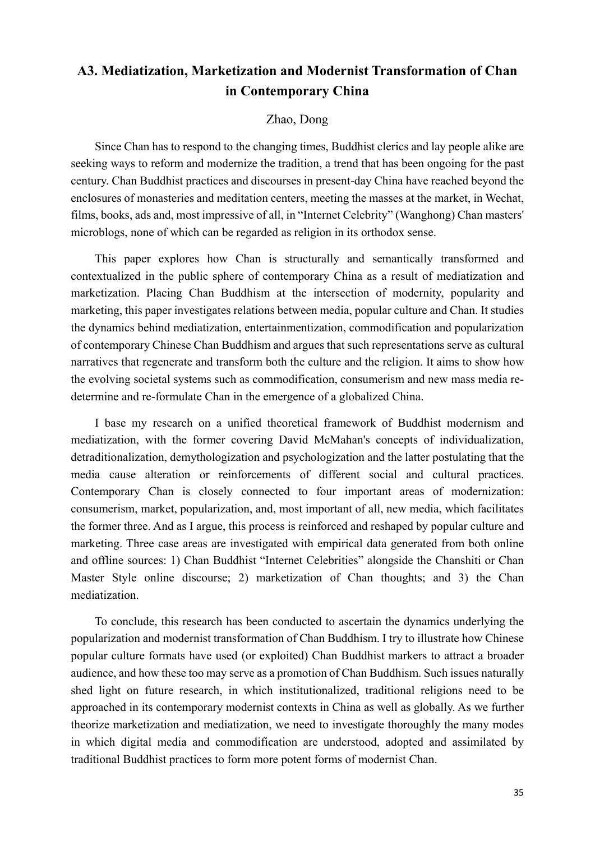## **A3. Mediatization, Marketization and Modernist Transformation of Chan in Contemporary China**

### Zhao, Dong

Since Chan has to respond to the changing times, Buddhist clerics and lay people alike are seeking ways to reform and modernize the tradition, a trend that has been ongoing for the past century. Chan Buddhist practices and discourses in present-day China have reached beyond the enclosures of monasteries and meditation centers, meeting the masses at the market, in Wechat, films, books, ads and, most impressive of all, in "Internet Celebrity" (Wanghong) Chan masters' microblogs, none of which can be regarded as religion in its orthodox sense.

This paper explores how Chan is structurally and semantically transformed and contextualized in the public sphere of contemporary China as a result of mediatization and marketization. Placing Chan Buddhism at the intersection of modernity, popularity and marketing, this paper investigates relations between media, popular culture and Chan. It studies the dynamics behind mediatization, entertainmentization, commodification and popularization of contemporary Chinese Chan Buddhism and argues that such representations serve as cultural narratives that regenerate and transform both the culture and the religion. It aims to show how the evolving societal systems such as commodification, consumerism and new mass media redetermine and re-formulate Chan in the emergence of a globalized China.

I base my research on a unified theoretical framework of Buddhist modernism and mediatization, with the former covering David McMahan's concepts of individualization, detraditionalization, demythologization and psychologization and the latter postulating that the media cause alteration or reinforcements of different social and cultural practices. Contemporary Chan is closely connected to four important areas of modernization: consumerism, market, popularization, and, most important of all, new media, which facilitates the former three. And as I argue, this process is reinforced and reshaped by popular culture and marketing. Three case areas are investigated with empirical data generated from both online and offline sources: 1) Chan Buddhist "Internet Celebrities" alongside the Chanshiti or Chan Master Style online discourse; 2) marketization of Chan thoughts; and 3) the Chan mediatization.

To conclude, this research has been conducted to ascertain the dynamics underlying the popularization and modernist transformation of Chan Buddhism. I try to illustrate how Chinese popular culture formats have used (or exploited) Chan Buddhist markers to attract a broader audience, and how these too may serve as a promotion of Chan Buddhism. Such issues naturally shed light on future research, in which institutionalized, traditional religions need to be approached in its contemporary modernist contexts in China as well as globally. As we further theorize marketization and mediatization, we need to investigate thoroughly the many modes in which digital media and commodification are understood, adopted and assimilated by traditional Buddhist practices to form more potent forms of modernist Chan.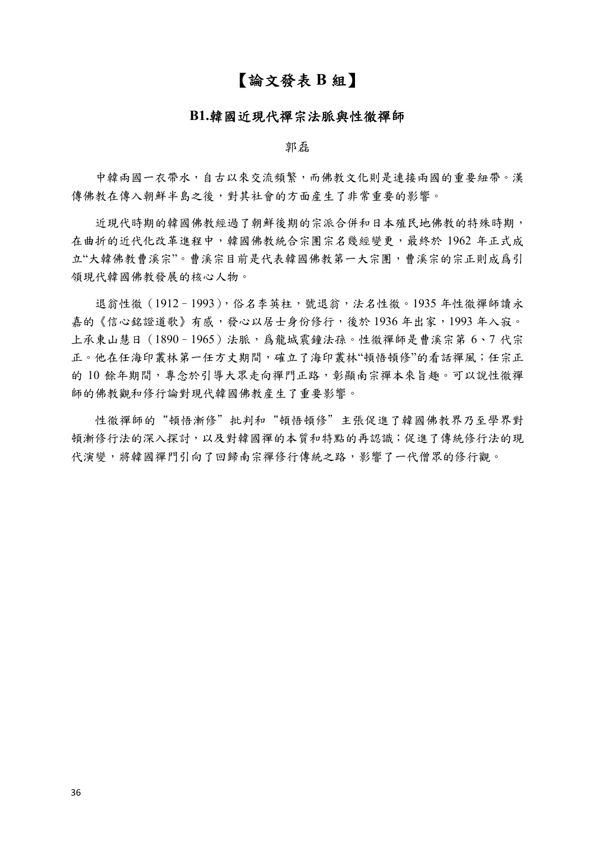## 【論文發表 **B** 組】

#### **B1.**韓國近現代禪宗法脈與性徹禪師

郭磊

中韓兩國一衣帶水,自古以來交流頻繁,而佛教文化則是連接兩國的重要紐帶。漢 傳佛教在傳入朝鮮半島之後,對其社會的方面產生了非常重要的影響。

近現代時期的韓國佛教經過了朝鮮後期的宗派合併和日本殖民地佛教的特殊時期, 在曲折的近代化改革進程中,韓國佛教統合宗團宗名幾經變更,最終於 1962 年正式成 立"大韓佛教曹溪宗"。曹溪宗目前是代表韓國佛教第一大宗團,曹溪宗的宗正則成爲引 領現代韓國佛教發展的核心人物。

退翁性徹(1912-1993),俗名李英柱,號退翁,法名性徹。1935年性徹禪師讀永 嘉的《信心銘證道歌》有感,發心以居士身份修行,後於1936年出家,1993年入寂。 上承東山慧日 (1890-1965)法脈,為龍城震鐘法孫。性徹禪師是曹溪宗第 6、7 代宗 正。他在任海印叢林第一任方丈期間,確立了海印叢林"頓悟頓修"的看話禪風;任宗正 的10餘年期間,專念於引導大眾走向禪門正路,彰顯南宗禪本來旨趣。可以說性徹禪 師的佛教觀和修行論對現代韓國佛教産生了重要影響。

性徹禪師的"頓悟漸修"批判和"頓悟頓修"主張促進了韓國佛教界乃至學界對 頓漸修行法的深入探討,以及對韓國禪的本質和特點的再認識;促進了傳統修行法的現 代演變,將韓國禪門引向了回歸南宗禪修行傳統之路,影響了一代僧眾的修行觀。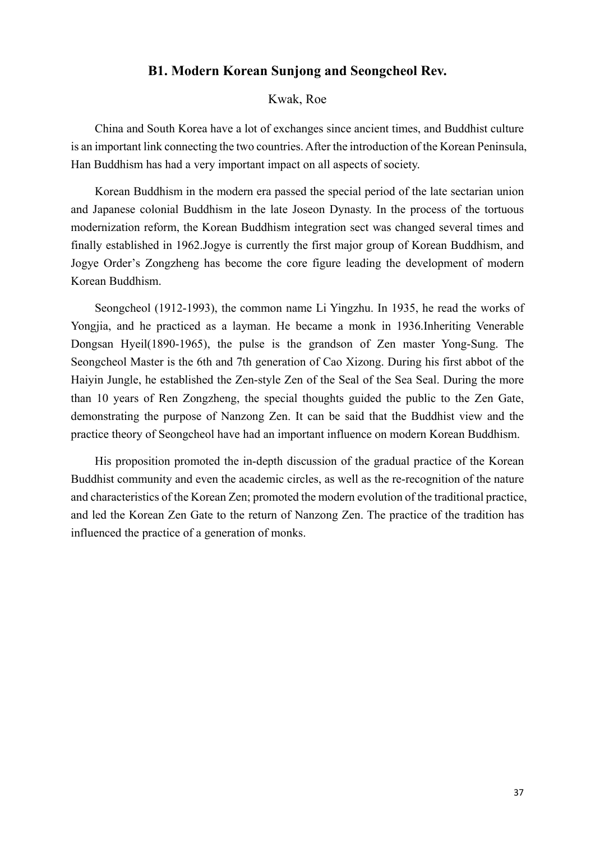## **B1. Modern Korean Sunjong and Seongcheol Rev.**

### Kwak, Roe

China and South Korea have a lot of exchanges since ancient times, and Buddhist culture is an important link connecting the two countries. After the introduction of the Korean Peninsula, Han Buddhism has had a very important impact on all aspects of society.

Korean Buddhism in the modern era passed the special period of the late sectarian union and Japanese colonial Buddhism in the late Joseon Dynasty. In the process of the tortuous modernization reform, the Korean Buddhism integration sect was changed several times and finally established in 1962.Jogye is currently the first major group of Korean Buddhism, and Jogye Order's Zongzheng has become the core figure leading the development of modern Korean Buddhism.

Seongcheol (1912-1993), the common name Li Yingzhu. In 1935, he read the works of Yongjia, and he practiced as a layman. He became a monk in 1936.Inheriting Venerable Dongsan Hyeil(1890-1965), the pulse is the grandson of Zen master Yong-Sung. The Seongcheol Master is the 6th and 7th generation of Cao Xizong. During his first abbot of the Haiyin Jungle, he established the Zen-style Zen of the Seal of the Sea Seal. During the more than 10 years of Ren Zongzheng, the special thoughts guided the public to the Zen Gate, demonstrating the purpose of Nanzong Zen. It can be said that the Buddhist view and the practice theory of Seongcheol have had an important influence on modern Korean Buddhism.

His proposition promoted the in-depth discussion of the gradual practice of the Korean Buddhist community and even the academic circles, as well as the re-recognition of the nature and characteristics of the Korean Zen; promoted the modern evolution of the traditional practice, and led the Korean Zen Gate to the return of Nanzong Zen. The practice of the tradition has influenced the practice of a generation of monks.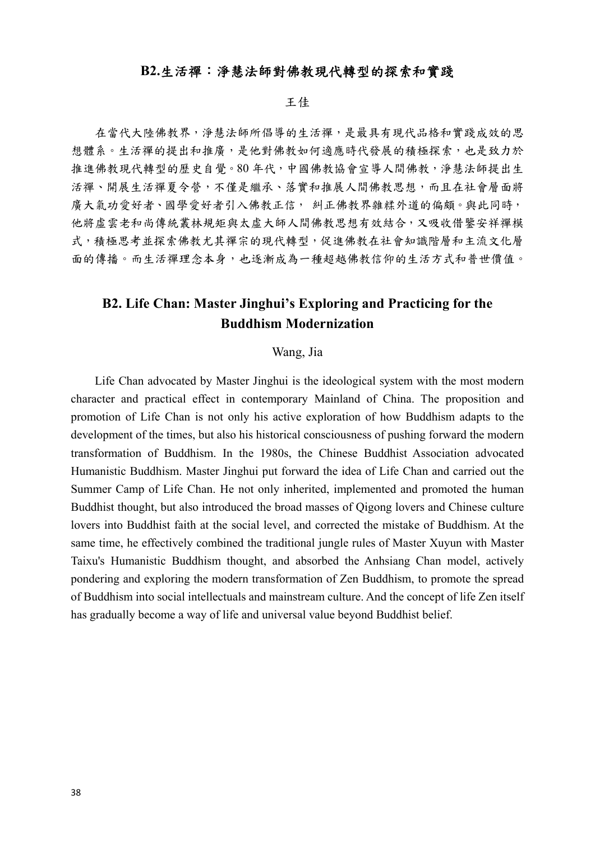## **B2.**生活禪:淨慧法師對佛教現代轉型的探索和實踐

#### 王佳

在當代大陸佛教界,淨慧法師所倡導的生活禪,是最具有現代品格和實踐成效的思 想體系。生活禪的提出和推廣,是他對佛教如何適應時代發展的積極探索,也是致力於 推進佛教現代轉型的歷史自覺。80 年代,中國佛教協會宣導人間佛教,淨慧法師提出生 活禪、開展生活禪夏令營,不僅是繼承、落實和推展人間佛教思想,而且在社會層面將 廣大氣功愛好者、國學愛好者引入佛教正信, 糾正佛教界雜糅外道的偏頗。與此同時, 他將虛雲老和尚傳統叢林規矩與太虛大師人間佛教思想有效結合,又吸收借鑒安祥禪模 式,積極思考並探索佛教尤其禪宗的現代轉型,促進佛教在社會知識階層和主流文化層 面的傳播。而生活禪理念本身,也逐漸成為一種超越佛教信仰的生活方式和普世價值。

## **B2. Life Chan: Master Jinghui's Exploring and Practicing for the Buddhism Modernization**

#### Wang, Jia

Life Chan advocated by Master Jinghui is the ideological system with the most modern character and practical effect in contemporary Mainland of China. The proposition and promotion of Life Chan is not only his active exploration of how Buddhism adapts to the development of the times, but also his historical consciousness of pushing forward the modern transformation of Buddhism. In the 1980s, the Chinese Buddhist Association advocated Humanistic Buddhism. Master Jinghui put forward the idea of Life Chan and carried out the Summer Camp of Life Chan. He not only inherited, implemented and promoted the human Buddhist thought, but also introduced the broad masses of Qigong lovers and Chinese culture lovers into Buddhist faith at the social level, and corrected the mistake of Buddhism. At the same time, he effectively combined the traditional jungle rules of Master Xuyun with Master Taixu's Humanistic Buddhism thought, and absorbed the Anhsiang Chan model, actively pondering and exploring the modern transformation of Zen Buddhism, to promote the spread of Buddhism into social intellectuals and mainstream culture. And the concept of life Zen itself has gradually become a way of life and universal value beyond Buddhist belief.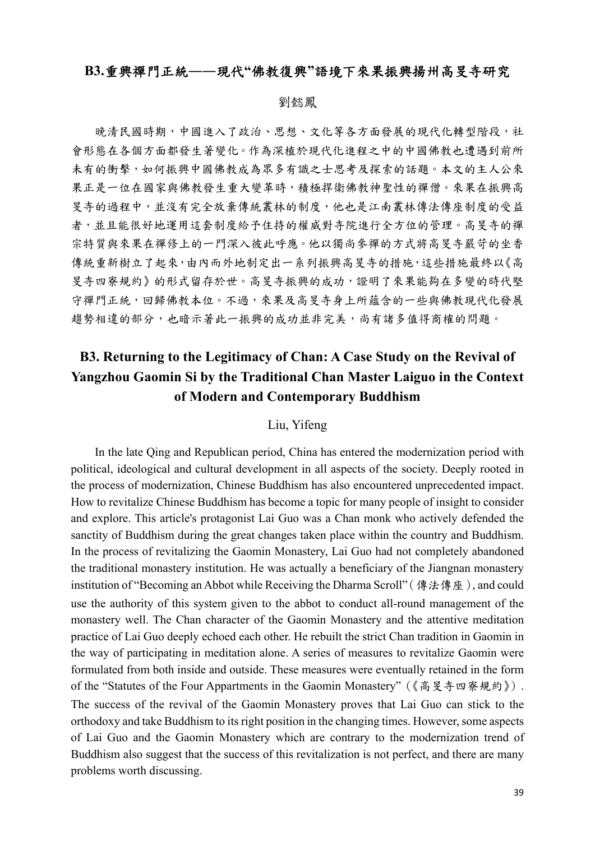## **B3.**重興禪門正統**――**現代**"**佛教復興**"**語境下來果振興揚州高旻寺研究

#### 劉懿鳳

晚清民國時期,中國進入了政治、思想、文化等各方面發展的現代化轉型階段,社 會形態在各個方面都發生著變化。作為深植於現代化進程之中的中國佛教也遭遇到前所 未有的衝擊,如何振興中國佛教成為眾多有識之士思考及探索的話題。本文的主人公來 果正是一位在國家與佛教發生重大變革時,積極捍衛佛教神聖性的禪僧。來果在振興高 旻寺的過程中,並沒有完全放棄傳統叢林的制度,他也是江南叢林傳法傳座制度的受益 者,並且能很好地運用這套制度給予住持的權威對寺院進行全方位的管理。高旻寺的禪 宗特質與來果在禪修上的一門深入彼此呼應。他以獨尚參禪的方式將高旻寺嚴苛的坐香 傳統重新樹立了起來,由內而外地制定出一系列振興高旻寺的措施,這些措施最終以《高 旻寺四寮規約》的形式留存於世。高旻寺振興的成功,證明了來果能夠在多變的時代堅 守禪門正統,回歸佛教本位。不過,來果及高旻寺身上所蘊含的一些與佛教現代化發展 趨勢相違的部分,也暗示著此一振興的成功並非完美,尚有諸多值得商榷的問題。

## **B3. Returning to the Legitimacy of Chan: A Case Study on the Revival of Yangzhou Gaomin Si by the Traditional Chan Master Laiguo in the Context of Modern and Contemporary Buddhism**

### Liu, Yifeng

In the late Qing and Republican period, China has entered the modernization period with political, ideological and cultural development in all aspects of the society. Deeply rooted in the process of modernization, Chinese Buddhism has also encountered unprecedented impact. How to revitalize Chinese Buddhism has become a topic for many people of insight to consider and explore. This article's protagonist Lai Guo was a Chan monk who actively defended the sanctity of Buddhism during the great changes taken place within the country and Buddhism. In the process of revitalizing the Gaomin Monastery, Lai Guo had not completely abandoned the traditional monastery institution. He was actually a beneficiary of the Jiangnan monastery institution of "Becoming an Abbot while Receiving the Dharma Scroll"(傳法傳座), and could use the authority of this system given to the abbot to conduct all-round management of the monastery well. The Chan character of the Gaomin Monastery and the attentive meditation practice of Lai Guo deeply echoed each other. He rebuilt the strict Chan tradition in Gaomin in the way of participating in meditation alone. A series of measures to revitalize Gaomin were formulated from both inside and outside. These measures were eventually retained in the form of the "Statutes of the Four Appartments in the Gaomin Monastery"(《高旻寺四寮規約》). The success of the revival of the Gaomin Monastery proves that Lai Guo can stick to the orthodoxy and take Buddhism to its right position in the changing times. However, some aspects of Lai Guo and the Gaomin Monastery which are contrary to the modernization trend of Buddhism also suggest that the success of this revitalization is not perfect, and there are many problems worth discussing.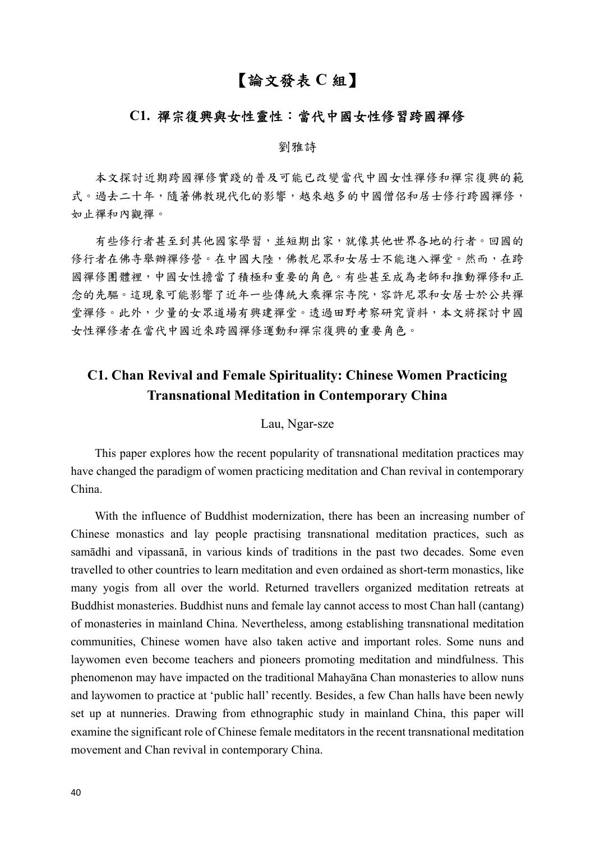## 【論文發表 **C** 組】

## **C1.** 禪宗復興與女性靈性:當代中國女性修習跨國禪修

#### 劉雅詩

本文探討近期跨國禪修實踐的普及可能已改變當代中國女性禪修和禪宗復興的範 式。過去二十年,隨著佛教現代化的影響,越來越多的中國僧侶和居士修行跨國禪修, 如止禪和內觀禪。

有些修行者甚至到其他國家學習,並短期出家,就像其他世界各地的行者。回國的 修行者在佛寺舉辦禪修營。在中國大陸,佛教尼眾和女居士不能進入禪堂。然而,在跨 國禪修團體裡,中國女性擔當了積極和重要的角色。有些甚至成為老師和推動禪修和正 念的先驅。這現象可能影響了近年一些傳統大乘禪宗寺院,容許尼眾和女居士於公共禪 堂禪修。此外,少量的女眾道場有興建禪堂。透過田野考察研究資料,本文將探討中國 女性禪修者在當代中國近來跨國禪修運動和禪宗復興的重要角色。

## **C1. Chan Revival and Female Spirituality: Chinese Women Practicing Transnational Meditation in Contemporary China**

#### Lau, Ngar-sze

This paper explores how the recent popularity of transnational meditation practices may have changed the paradigm of women practicing meditation and Chan revival in contemporary China.

With the influence of Buddhist modernization, there has been an increasing number of Chinese monastics and lay people practising transnational meditation practices, such as samādhi and vipassanā, in various kinds of traditions in the past two decades. Some even travelled to other countries to learn meditation and even ordained as short-term monastics, like many yogis from all over the world. Returned travellers organized meditation retreats at Buddhist monasteries. Buddhist nuns and female lay cannot access to most Chan hall (cantang) of monasteries in mainland China. Nevertheless, among establishing transnational meditation communities, Chinese women have also taken active and important roles. Some nuns and laywomen even become teachers and pioneers promoting meditation and mindfulness. This phenomenon may have impacted on the traditional Mahayāna Chan monasteries to allow nuns and laywomen to practice at 'public hall' recently. Besides, a few Chan halls have been newly set up at nunneries. Drawing from ethnographic study in mainland China, this paper will examine the significant role of Chinese female meditators in the recent transnational meditation movement and Chan revival in contemporary China.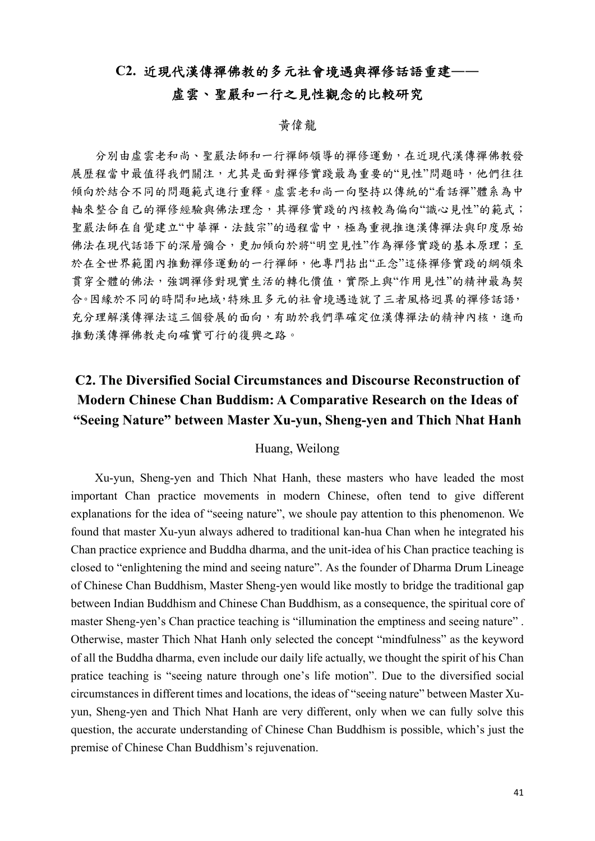## **C2.** 近現代漢傳禪佛教的多元社會境遇與禪修話語重建**――**

## 虛雲、聖嚴和一行之見性觀念的比較研究

### 黃偉龍

分別由虛雲老和尚、聖嚴法師和一行禪師領導的禪修運動,在近現代漢傳禪佛教發 展歷程當中最值得我們關注,尤其是面對禪修實踐最為重要的"見性"問題時,他們往往 傾向於結合不同的問題範式進行重釋。虛雲老和尚一向堅持以傳統的"看話禪"體系為中 軸來整合自己的禪修經驗與佛法理念,其禪修實踐的內核較為偏向"識心見性"的範式; 聖嚴法師在自覺建立"中華禪·法鼓宗"的過程當中,極為重視推進漢傳禪法與印度原始 佛法在現代話語下的深層彌合,更加傾向於將"明空見性"作為禪修實踐的基本原理;至 於在全世界範圍內推動禪修運動的一行禪師,他專門拈出"正念"這條禪修實踐的綱領來 貫穿全體的佛法,強調禪修對現實生活的轉化價值,實際上與"作用見性"的精神最為契 合。因緣於不同的時間和地域,特殊且多元的社會境遇造就了三者風格迥異的禪修話語, 充分理解漢傳禪法這三個發展的面向,有助於我們準確定位漢傳禪法的精神內核,進而 推動漢傳禪佛教走向確實可行的復興之路。

## **C2. The Diversified Social Circumstances and Discourse Reconstruction of Modern Chinese Chan Buddism: A Comparative Research on the Ideas of "Seeing Nature" between Master Xu-yun, Sheng-yen and Thich Nhat Hanh**

### Huang, Weilong

Xu-yun, Sheng-yen and Thich Nhat Hanh, these masters who have leaded the most important Chan practice movements in modern Chinese, often tend to give different explanations for the idea of "seeing nature", we shoule pay attention to this phenomenon. We found that master Xu-yun always adhered to traditional kan-hua Chan when he integrated his Chan practice exprience and Buddha dharma, and the unit-idea of his Chan practice teaching is closed to "enlightening the mind and seeing nature". As the founder of Dharma Drum Lineage of Chinese Chan Buddhism, Master Sheng-yen would like mostly to bridge the traditional gap between Indian Buddhism and Chinese Chan Buddhism, as a consequence, the spiritual core of master Sheng-yen's Chan practice teaching is "illumination the emptiness and seeing nature" . Otherwise, master Thich Nhat Hanh only selected the concept "mindfulness" as the keyword of all the Buddha dharma, even include our daily life actually, we thought the spirit of his Chan pratice teaching is "seeing nature through one's life motion". Due to the diversified social circumstances in different times and locations, the ideas of "seeing nature" between Master Xuyun, Sheng-yen and Thich Nhat Hanh are very different, only when we can fully solve this question, the accurate understanding of Chinese Chan Buddhism is possible, which's just the premise of Chinese Chan Buddhism's rejuvenation.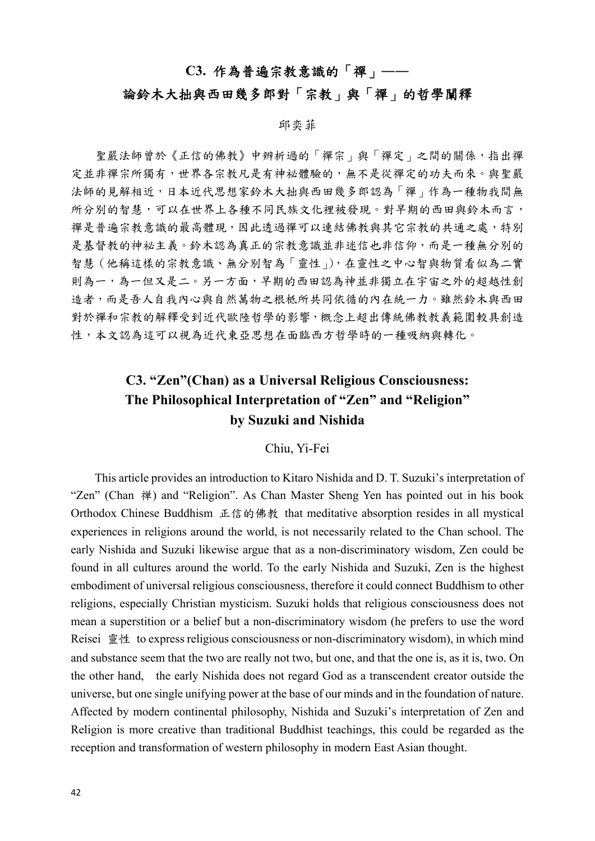## **C3.** 作為普遍宗教意識的「禪」**――**

## 論鈴木大拙與西田幾多郎對「宗教」與「禪」的哲學闡釋

#### 邱奕菲

聖嚴法師曾於《正信的佛教》中辨析過的「禪宗」與「禪定」之間的關係,指出禪 定並非禪宗所獨有,世界各宗教凡是有神祕體驗的,無不是從禪定的功夫而來。與聖嚴 法師的見解相近,日本近代思想家鈴木大拙與西田幾多郎認為「禪」作為一種物我間無 所分別的智慧,可以在世界上各種不同民族文化裡被發現。對早期的西田與鈴木而言, 禪是普遍宗教意識的最高體現,因此透過禪可以連結佛教與其它宗教的共通之處,特別 是基督教的神祕主義。鈴木認為真正的宗教意識並非迷信也非信仰,而是一種無分別的 智慧(他稱這樣的宗教意識、無分別智為「靈性」),在靈性之中心智與物質看似為二實 則為一,為一但又是二。另一方面,早期的西田認為神並非獨立在宇宙之外的超越性創 造者,而是吾人自我內心與自然萬物之根柢所共同依循的內在統一力。雖然鈴木與西田 對於禪和宗教的解釋受到近代歐陸哲學的影響,概念上超出傳統佛教教義範圍較具創造 性,本文認為這可以視為近代東亞思想在面臨西方哲學時的一種吸納與轉化。

## **C3. "Zen"(Chan) as a Universal Religious Consciousness: The Philosophical Interpretation of "Zen" and "Religion" by Suzuki and Nishida**

#### Chiu, Yi-Fei

This article provides an introduction to Kitaro Nishida and D. T. Suzuki's interpretation of "Zen" (Chan 禅) and "Religion". As Chan Master Sheng Yen has pointed out in his book Orthodox Chinese Buddhism 正信的佛教 that meditative absorption resides in all mystical experiences in religions around the world, is not necessarily related to the Chan school. The early Nishida and Suzuki likewise argue that as a non-discriminatory wisdom, Zen could be found in all cultures around the world. To the early Nishida and Suzuki, Zen is the highest embodiment of universal religious consciousness, therefore it could connect Buddhism to other religions, especially Christian mysticism. Suzuki holds that religious consciousness does not mean a superstition or a belief but a non-discriminatory wisdom (he prefers to use the word Reisei 靈性 to express religious consciousness or non-discriminatory wisdom), in which mind and substance seem that the two are really not two, but one, and that the one is, as it is, two. On the other hand, the early Nishida does not regard God as a transcendent creator outside the universe, but one single unifying power at the base of our minds and in the foundation of nature. Affected by modern continental philosophy, Nishida and Suzuki's interpretation of Zen and Religion is more creative than traditional Buddhist teachings, this could be regarded as the reception and transformation of western philosophy in modern East Asian thought.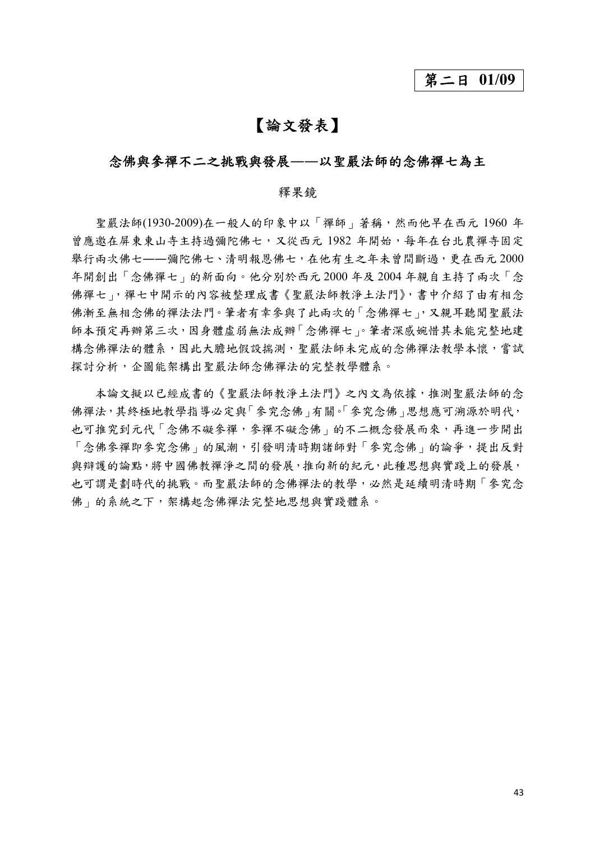## 第二日 **01/09**

## 【論文發表】

## 念佛與參禪不二之挑戰與發展**――**以聖嚴法師的念佛禪七為主

#### 釋果鏡

聖嚴法師(1930-2009)在一般人的印象中以「禪師」著稱,然而他早在西元 1960 年 曾應邀在屏東東山寺主持過彌陀佛七,又從西元 1982 年開始,每年在台北農禪寺固定 舉行兩次佛七――彌陀佛七、清明報恩佛七,在他有生之年未曾間斷過,更在西元 2000 年開創出「念佛禪七」的新面向。他分別於西元 2000 年及 2004 年親自主持了兩次「念 佛禪七」,禪七中開示的內容被整理成書《聖嚴法師教淨土法門》,書中介紹了由有相念 佛漸至無相念佛的禪法法門。筆者有幸參與了此兩次的「念佛禪七」,又親耳聽聞聖嚴法 師本預定再辦第三次,因身體虛弱無法成辦「念佛禪七」。筆者深感婉惜其未能完整地建 構念佛禪法的體系,因此大膽地假設揣測,聖嚴法師未完成的念佛禪法教學本懷,嘗試 探討分析,企圖能架構出聖嚴法師念佛禪法的完整教學體系。

本論文擬以已經成書的《聖嚴法師教淨土法門》之內文為依據,推測聖嚴法師的念 佛禪法,其終極地教學指導必定與「參究念佛」有關。「參究念佛」思想應可溯源於明代, 也可推究到元代「念佛不礙參禪,參禪不礙念佛」的不二概念發展而來,再進一步開出 「念佛參禪即參究念佛」的風潮,引發明清時期諸師對「參究念佛」的論爭,提出反對 與辯護的論點,將中國佛教禪淨之間的發展,推向新的紀元,此種思想與實踐上的發展, 也可謂是劃時代的挑戰。而聖嚴法師的念佛禪法的教學,必然是延續明清時期「參究念 佛」的系統之下,架構起念佛禪法完整地思想與實踐體系。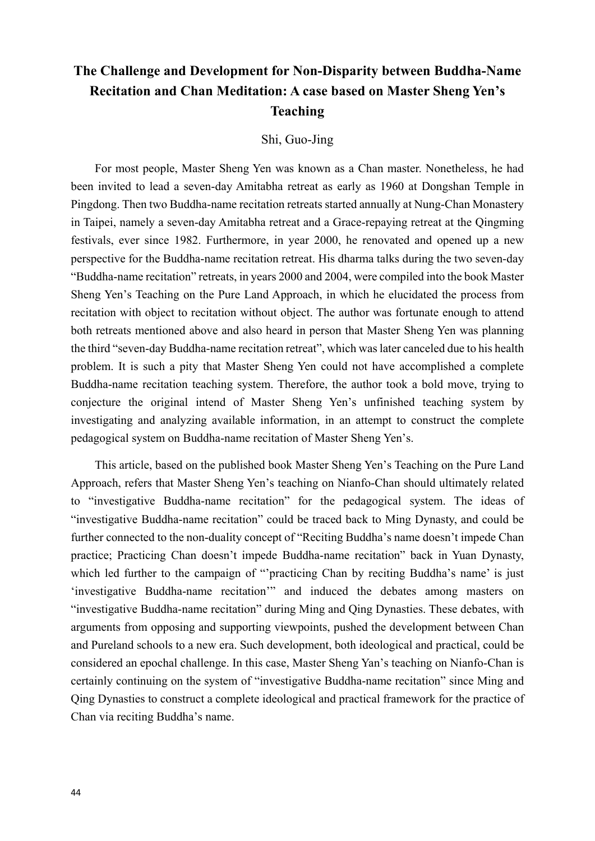## **The Challenge and Development for Non-Disparity between Buddha-Name Recitation and Chan Meditation: A case based on Master Sheng Yen's Teaching**

#### Shi, Guo-Jing

For most people, Master Sheng Yen was known as a Chan master. Nonetheless, he had been invited to lead a seven-day Amitabha retreat as early as 1960 at Dongshan Temple in Pingdong. Then two Buddha-name recitation retreats started annually at Nung-Chan Monastery in Taipei, namely a seven-day Amitabha retreat and a Grace-repaying retreat at the Qingming festivals, ever since 1982. Furthermore, in year 2000, he renovated and opened up a new perspective for the Buddha-name recitation retreat. His dharma talks during the two seven-day "Buddha-name recitation" retreats, in years 2000 and 2004, were compiled into the book Master Sheng Yen's Teaching on the Pure Land Approach, in which he elucidated the process from recitation with object to recitation without object. The author was fortunate enough to attend both retreats mentioned above and also heard in person that Master Sheng Yen was planning the third "seven-day Buddha-name recitation retreat", which was later canceled due to his health problem. It is such a pity that Master Sheng Yen could not have accomplished a complete Buddha-name recitation teaching system. Therefore, the author took a bold move, trying to conjecture the original intend of Master Sheng Yen's unfinished teaching system by investigating and analyzing available information, in an attempt to construct the complete pedagogical system on Buddha-name recitation of Master Sheng Yen's.

This article, based on the published book Master Sheng Yen's Teaching on the Pure Land Approach, refers that Master Sheng Yen's teaching on Nianfo-Chan should ultimately related to "investigative Buddha-name recitation" for the pedagogical system. The ideas of "investigative Buddha-name recitation" could be traced back to Ming Dynasty, and could be further connected to the non-duality concept of "Reciting Buddha's name doesn't impede Chan practice; Practicing Chan doesn't impede Buddha-name recitation" back in Yuan Dynasty, which led further to the campaign of "'practicing Chan by reciting Buddha's name' is just 'investigative Buddha-name recitation'" and induced the debates among masters on "investigative Buddha-name recitation" during Ming and Qing Dynasties. These debates, with arguments from opposing and supporting viewpoints, pushed the development between Chan and Pureland schools to a new era. Such development, both ideological and practical, could be considered an epochal challenge. In this case, Master Sheng Yan's teaching on Nianfo-Chan is certainly continuing on the system of "investigative Buddha-name recitation" since Ming and Qing Dynasties to construct a complete ideological and practical framework for the practice of Chan via reciting Buddha's name.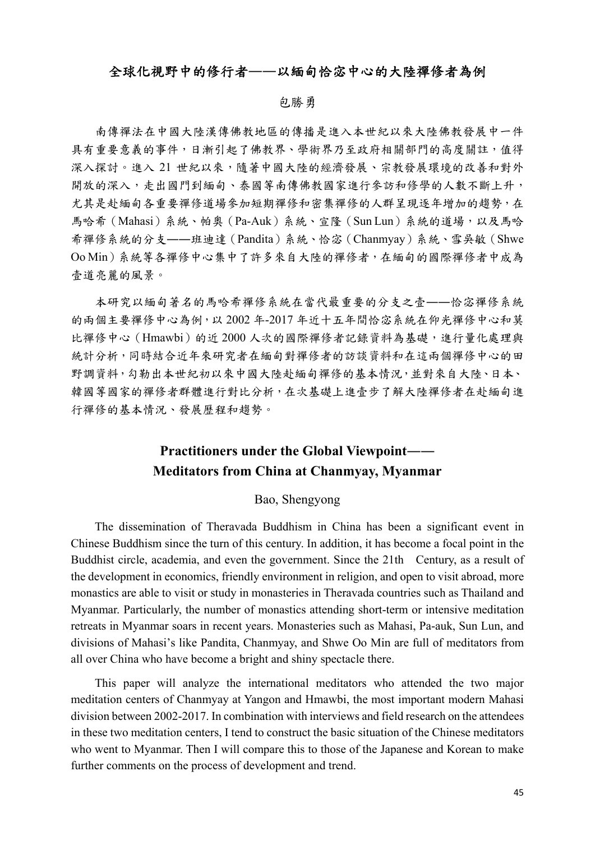### 全球化視野中的修行者**――**以緬甸恰宓中心的大陸禪修者為例

#### 包勝勇

南傳禪法在中國大陸漢傳佛教地區的傳播是進入本世紀以來大陸佛教發展中一件 具有重要意義的事件,日漸引起了佛教界、學術界乃至政府相關部門的高度關註,值得 深入探討。進入 21 世紀以來,隨著中國大陸的經濟發展、宗教發展環境的改善和對外 開放的深入,走出國門到緬甸、泰國等南傳佛教國家進行參訪和修學的人數不斷上升, 尤其是赴緬甸各重要禪修道場參加短期禪修和密集禪修的人群呈現逐年增加的趨勢,在 馬哈希(Mahasi)系統、帕奧(Pa-Auk)系統、宣隆(Sun Lun)系統的道場,以及馬哈 希禪修系統的分支――班迪達(Pandita)系統、恰宓(Chanmyay)系統、雪吳敏(Shwe Oo Min)系統等各禪修中心集中了許多來自大陸的禪修者,在緬甸的國際禪修者中成為 壹道亮麗的風景。

本研究以緬甸著名的馬哈希禪修系統在當代最重要的分支之壹――恰宓禪修系統 的兩個主要禪修中心為例,以 2002 年-2017 年近十五年間恰宓系統在仰光禪修中心和莫 比禪修中心(Hmawbi)的近 2000 人次的國際禪修者記錄資料為基礎,進行量化處理與 統計分析,同時結合近年來研究者在緬甸對禪修者的訪談資料和在這兩個禪修中心的田 野調資料,勾勒出本世紀初以來中國大陸赴緬甸禪修的基本情況,並對來自大陸、日本、 韓國等國家的禪修者群體進行對比分析,在次基礎上進壹步了解大陸禪修者在赴緬甸進 行禪修的基本情況、發展歷程和趨勢。

## **Practitioners under the Global Viewpoint―― Meditators from China at Chanmyay, Myanmar**

#### Bao, Shengyong

The dissemination of Theravada Buddhism in China has been a significant event in Chinese Buddhism since the turn of this century. In addition, it has become a focal point in the Buddhist circle, academia, and even the government. Since the 21th Century, as a result of the development in economics, friendly environment in religion, and open to visit abroad, more monastics are able to visit or study in monasteries in Theravada countries such as Thailand and Myanmar. Particularly, the number of monastics attending short-term or intensive meditation retreats in Myanmar soars in recent years. Monasteries such as Mahasi, Pa-auk, Sun Lun, and divisions of Mahasi's like Pandita, Chanmyay, and Shwe Oo Min are full of meditators from all over China who have become a bright and shiny spectacle there.

This paper will analyze the international meditators who attended the two major meditation centers of Chanmyay at Yangon and Hmawbi, the most important modern Mahasi division between 2002-2017. In combination with interviews and field research on the attendees in these two meditation centers, I tend to construct the basic situation of the Chinese meditators who went to Myanmar. Then I will compare this to those of the Japanese and Korean to make further comments on the process of development and trend.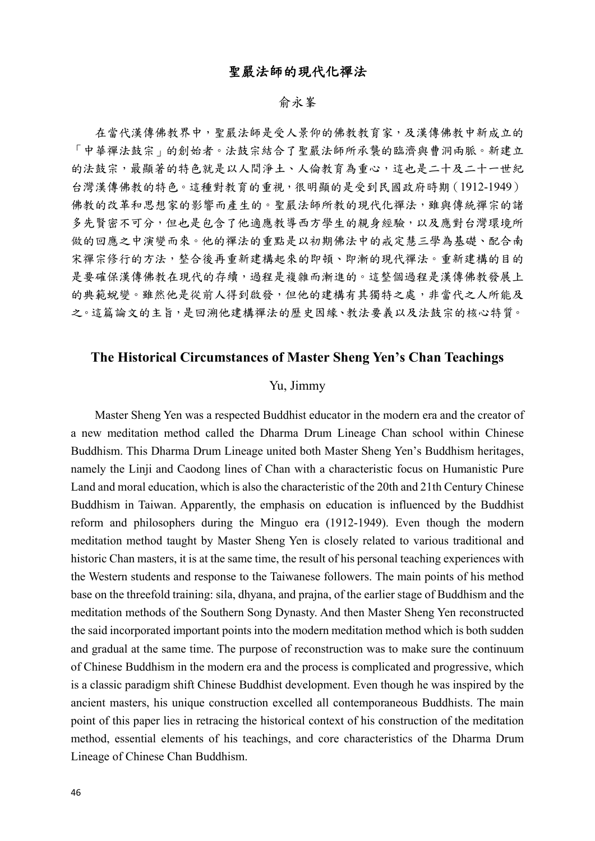## 聖嚴法師的現代化禪法

### 俞永峯

在當代漢傳佛教界中,聖嚴法師是受人景仰的佛教教育家,及漢傳佛教中新成立的 「中華禪法鼓宗」的創始者。法鼓宗結合了聖嚴法師所承襲的臨濟與曹洞兩脈。新建立 的法鼓宗,最顯著的特色就是以人間淨土、人倫教育為重心,這也是二十及二十一世紀 台灣漢傳佛教的特色。這種對教育的重視,很明顯的是受到民國政府時期(1912-1949) 佛教的改革和思想家的影響而產生的。聖嚴法師所教的現代化禪法,雖與傳統禪宗的諸 多先賢密不可分,但也是包含了他適應教導西方學生的親身經驗,以及應對台灣環境所 做的回應之中演變而來。他的禪法的重點是以初期佛法中的戒定慧三學為基礎、配合南 宋禪宗修行的方法,整合後再重新建構起來的即頓、即漸的現代禪法。重新建構的目的 是要確保漢傳佛教在現代的存續,過程是複雜而漸進的。這整個過程是漢傳佛教發展上 的典範蛻變。雖然他是從前人得到啟發,但他的建構有其獨特之處,非當代之人所能及 之。這篇論文的主旨,是回溯他建構禪法的歷史因緣、教法要義以及法鼓宗的核心特質。

## **The Historical Circumstances of Master Sheng Yen's Chan Teachings**

#### Yu, Jimmy

Master Sheng Yen was a respected Buddhist educator in the modern era and the creator of a new meditation method called the Dharma Drum Lineage Chan school within Chinese Buddhism. This Dharma Drum Lineage united both Master Sheng Yen's Buddhism heritages, namely the Linji and Caodong lines of Chan with a characteristic focus on Humanistic Pure Land and moral education, which is also the characteristic of the 20th and 21th Century Chinese Buddhism in Taiwan. Apparently, the emphasis on education is influenced by the Buddhist reform and philosophers during the Minguo era (1912-1949). Even though the modern meditation method taught by Master Sheng Yen is closely related to various traditional and historic Chan masters, it is at the same time, the result of his personal teaching experiences with the Western students and response to the Taiwanese followers. The main points of his method base on the threefold training: sila, dhyana, and prajna, of the earlier stage of Buddhism and the meditation methods of the Southern Song Dynasty. And then Master Sheng Yen reconstructed the said incorporated important points into the modern meditation method which is both sudden and gradual at the same time. The purpose of reconstruction was to make sure the continuum of Chinese Buddhism in the modern era and the process is complicated and progressive, which is a classic paradigm shift Chinese Buddhist development. Even though he was inspired by the ancient masters, his unique construction excelled all contemporaneous Buddhists. The main point of this paper lies in retracing the historical context of his construction of the meditation method, essential elements of his teachings, and core characteristics of the Dharma Drum Lineage of Chinese Chan Buddhism.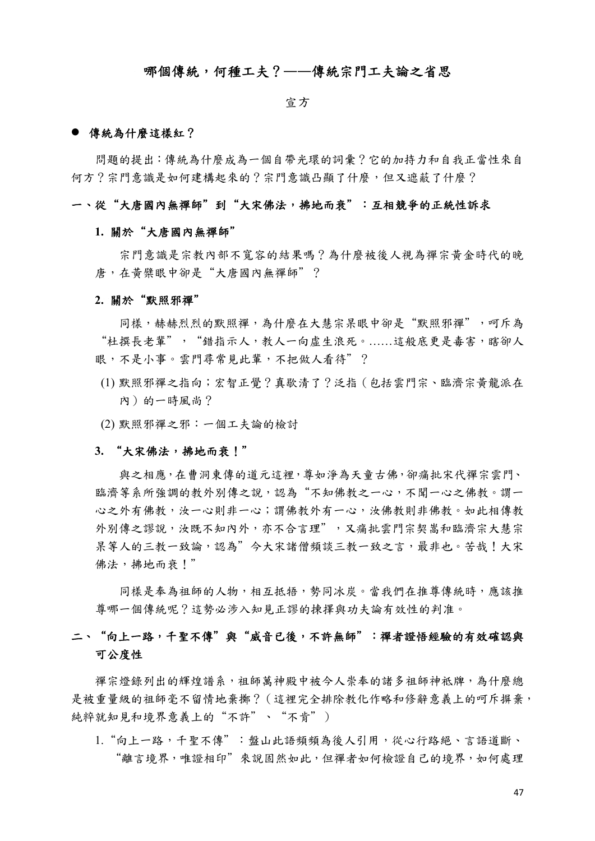### 哪個傳統,何種工夫?**――**傳統宗門工夫論之省思

#### 宣方

#### 傳統為什麼這樣紅?

問題的提出:傳統為什麼成為一個自帶光環的詞彙?它的加持力和自我正當性來自 何方?宗門意識是如何建構起來的?宗門意識凸顯了什麼,但又遮蔽了什麼?

#### 一、從"大唐國內無禪師"到"大宋佛法,拂地而衰":互相競爭的正統性訴求

#### **1.** 關於"大唐國內無禪師"

宗門意識是宗教內部不寬容的結果嗎?為什麼被後人視為禪宗黃金時代的晚 唐,在黃檗眼中卻是"大唐國內無禪師"?

#### **2.** 關於"默照邪禪"

同樣,赫赫烈烈的默照禪,為什麼在大慧宗杲眼中卻是"默照邪禪",呵斥為 "杜撰長老輩","錯指示人,教人一向虛生浪死。……這般底更是毒害,瞎卻人 眼,不是小事。雲門尋常見此輩,不把做人看待"?

- (1) 默照邪禪之指向;宏智正覺?真歇清了?泛指(包括雲門宗、臨濟宗黃龍派在 內)的一時風尚?
- (2) 默照邪禪之邪:一個工夫論的檢討

#### **3.** "大宋佛法,拂地而衰!"

與之相應,在曹洞東傳的道元這裡,尊如淨為天童古佛,卻痛批宋代禪宗雲門、 臨濟等系所強調的教外別傳之說,認為"不知佛教之一心,不聞一心之佛教。謂一 心之外有佛教,汝一心則非一心;謂佛教外有一心,汝佛教則非佛教。如此相傳教 外別傳之謬說,汝既不知內外,亦不合言理",又痛批雲門宗契嵩和臨濟宗大慧宗 呆等人的三教一致論,認為"今大宋諸僧頻談三教一致之言,最非也。苦哉!大宋 佛法,拂地而衰!"

同樣是奉為祖師的人物,相互抵牾,勢同冰炭。當我們在推尊傳統時,應該推 尊哪一個傳統呢?這勢必涉入知見正謬的揀擇與功夫論有效性的判准。

## 二、"向上一路,千聖不傳"與"威音已後,不許無師":禪者證悟經驗的有效確認與 可公度性

禪宗燈錄列出的輝煌譜系,祖師萬神殿中被今人崇奉的諸多祖師神祗牌,為什麼總 是被重量級的祖師毫不留情地棄擲?(這裡完全排除教化作略和修辭意義上的呵斥摒棄, 純粹就知見和境界意義上的"不許"、"不肯")

1. "向上一路,千聖不傳": 盤山此語頻頻為後人引用,從心行路絕、言語道斷、 "離言境界,唯證相印"來說固然如此,但禪者如何檢證自己的境界,如何處理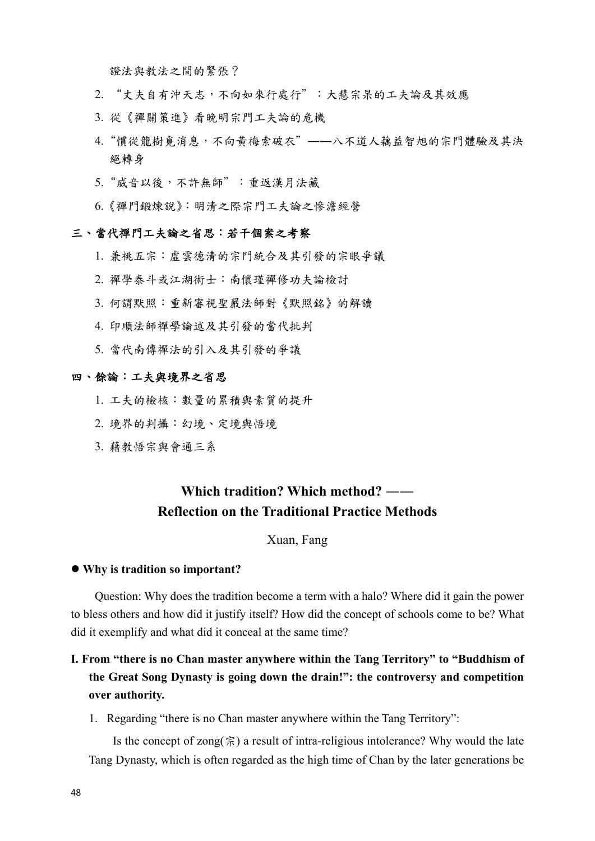證法與教法之間的緊張?

- 2. "丈夫自有沖天志,不向如來行處行":大慧宗杲的工夫論及其效應
- 3. 從《禪關策進》看晚明宗門工夫論的危機
- 4. "慣從龍樹覓消息,不向黃梅索破衣"––八不道人藕益智旭的宗門體驗及其決 絕轉身
- 5. "威音以後,不許無師":重返漢月法藏
- 6.《禪門鍛煉說》:明清之際宗門工夫論之慘澹經營

#### 三、當代禪門工夫論之省思:若干個案之考察

- 1. 兼祧五宗:虛雲德清的宗門統合及其引發的宗眼爭議
- 2. 禪學泰斗或江湖術士:南懷瑾禪修功夫論檢討
- 3. 何謂默照:重新審視聖嚴法師對《默照銘》的解讀
- 4. 印順法師禪學論述及其引發的當代批判
- 5. 當代南傳禪法的引入及其引發的爭議

#### 四、餘論:工夫與境界之省思

- 1. 工夫的檢核:數量的累積與素質的提升
- 2. 境界的判攝:幻境、定境與悟境
- 3. 藉教悟宗與會通三系

## **Which tradition? Which method? ―― Reflection on the Traditional Practice Methods**

### Xuan, Fang

#### **Why is tradition so important?**

Question: Why does the tradition become a term with a halo? Where did it gain the power to bless others and how did it justify itself? How did the concept of schools come to be? What did it exemplify and what did it conceal at the same time?

## **Ⅰ. From "there is no Chan master anywhere within the Tang Territory" to "Buddhism of the Great Song Dynasty is going down the drain!": the controversy and competition over authority.**

1. Regarding "there is no Chan master anywhere within the Tang Territory":

Is the concept of zong( $\hat{\xi}$ ) a result of intra-religious intolerance? Why would the late Tang Dynasty, which is often regarded as the high time of Chan by the later generations be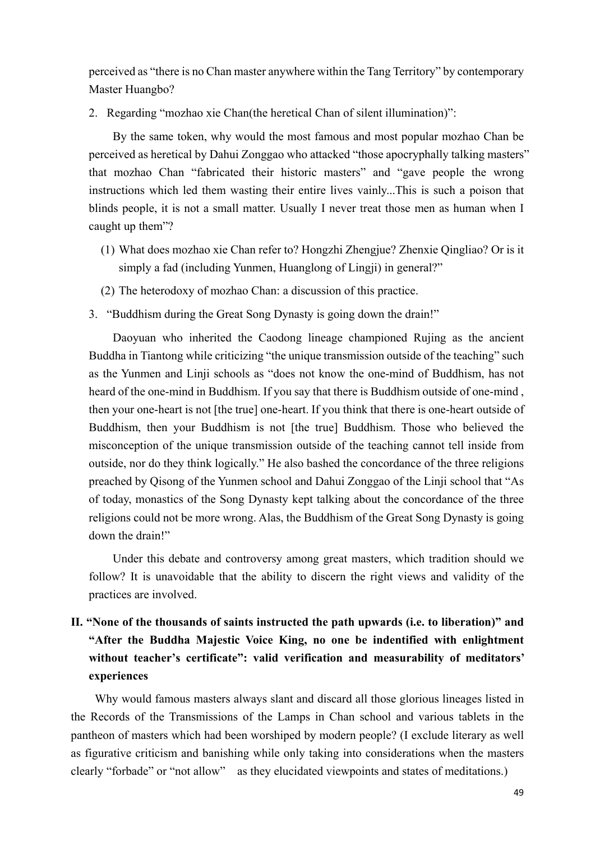perceived as "there is no Chan master anywhere within the Tang Territory" by contemporary Master Huangbo?

2. Regarding "mozhao xie Chan(the heretical Chan of silent illumination)":

By the same token, why would the most famous and most popular mozhao Chan be perceived as heretical by Dahui Zonggao who attacked "those apocryphally talking masters" that mozhao Chan "fabricated their historic masters" and "gave people the wrong instructions which led them wasting their entire lives vainly...This is such a poison that blinds people, it is not a small matter. Usually I never treat those men as human when I caught up them"?

- (1) What does mozhao xie Chan refer to? Hongzhi Zhengjue? Zhenxie Qingliao? Or is it simply a fad (including Yunmen, Huanglong of Lingji) in general?"
- (2) The heterodoxy of mozhao Chan: a discussion of this practice.
- 3. "Buddhism during the Great Song Dynasty is going down the drain!"

Daoyuan who inherited the Caodong lineage championed Rujing as the ancient Buddha in Tiantong while criticizing "the unique transmission outside of the teaching" such as the Yunmen and Linji schools as "does not know the one-mind of Buddhism, has not heard of the one-mind in Buddhism. If you say that there is Buddhism outside of one-mind , then your one-heart is not [the true] one-heart. If you think that there is one-heart outside of Buddhism, then your Buddhism is not [the true] Buddhism. Those who believed the misconception of the unique transmission outside of the teaching cannot tell inside from outside, nor do they think logically." He also bashed the concordance of the three religions preached by Qisong of the Yunmen school and Dahui Zonggao of the Linji school that "As of today, monastics of the Song Dynasty kept talking about the concordance of the three religions could not be more wrong. Alas, the Buddhism of the Great Song Dynasty is going down the drain!"

Under this debate and controversy among great masters, which tradition should we follow? It is unavoidable that the ability to discern the right views and validity of the practices are involved.

## **Ⅱ. "None of the thousands of saints instructed the path upwards (i.e. to liberation)" and "After the Buddha Majestic Voice King, no one be indentified with enlightment without teacher's certificate": valid verification and measurability of meditators' experiences**

Why would famous masters always slant and discard all those glorious lineages listed in the Records of the Transmissions of the Lamps in Chan school and various tablets in the pantheon of masters which had been worshiped by modern people? (I exclude literary as well as figurative criticism and banishing while only taking into considerations when the masters clearly "forbade" or "not allow" as they elucidated viewpoints and states of meditations.)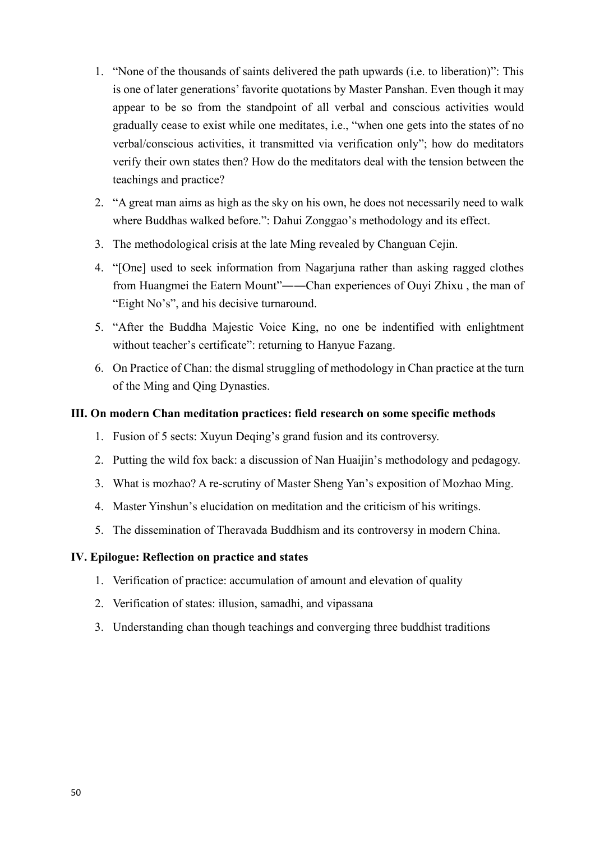- 1. "None of the thousands of saints delivered the path upwards (i.e. to liberation)": This is one of later generations' favorite quotations by Master Panshan. Even though it may appear to be so from the standpoint of all verbal and conscious activities would gradually cease to exist while one meditates, i.e., "when one gets into the states of no verbal/conscious activities, it transmitted via verification only"; how do meditators verify their own states then? How do the meditators deal with the tension between the teachings and practice?
- 2. "A great man aims as high as the sky on his own, he does not necessarily need to walk where Buddhas walked before.": Dahui Zonggao's methodology and its effect.
- 3. The methodological crisis at the late Ming revealed by Changuan Cejin.
- 4. "[One] used to seek information from Nagarjuna rather than asking ragged clothes from Huangmei the Eatern Mount"――Chan experiences of Ouyi Zhixu , the man of "Eight No's", and his decisive turnaround.
- 5. "After the Buddha Majestic Voice King, no one be indentified with enlightment without teacher's certificate": returning to Hanyue Fazang.
- 6. On Practice of Chan: the dismal struggling of methodology in Chan practice at the turn of the Ming and Qing Dynasties.

## **Ⅲ. On modern Chan meditation practices: field research on some specific methods**

- 1. Fusion of 5 sects: Xuyun Deqing's grand fusion and its controversy.
- 2. Putting the wild fox back: a discussion of Nan Huaijin's methodology and pedagogy.
- 3. What is mozhao? A re-scrutiny of Master Sheng Yan's exposition of Mozhao Ming.
- 4. Master Yinshun's elucidation on meditation and the criticism of his writings.
- 5. The dissemination of Theravada Buddhism and its controversy in modern China.

### **Ⅳ. Epilogue: Reflection on practice and states**

- 1. Verification of practice: accumulation of amount and elevation of quality
- 2. Verification of states: illusion, samadhi, and vipassana
- 3. Understanding chan though teachings and converging three buddhist traditions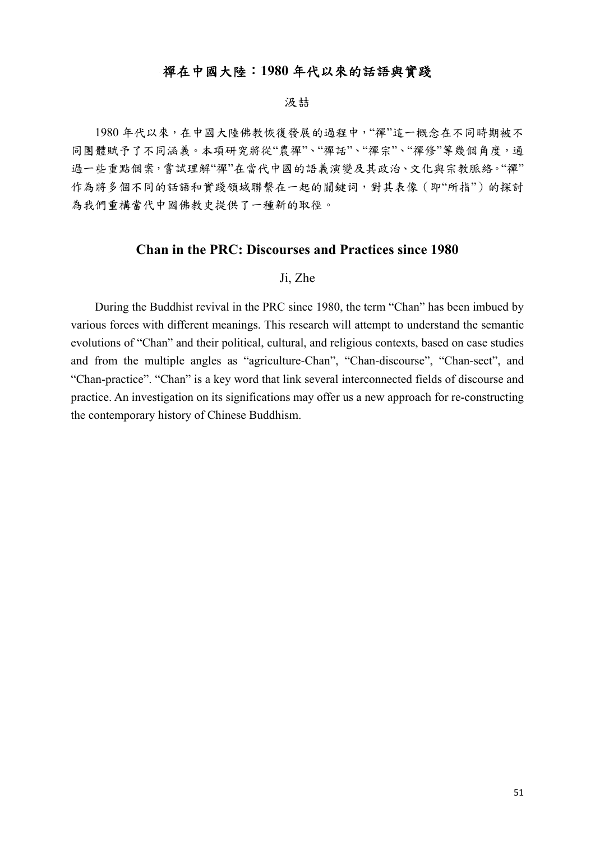## 禪在中國大陸:**1980** 年代以來的話語與實踐

#### 汲喆

1980 年代以來,在中國大陸佛教恢復發展的過程中,"禪"這一概念在不同時期被不 同團體賦予了不同涵義。本項研究將從"農禪"、"禪話"、"禪宗"、"禪修"等幾個角度,通 過一些重點個案,嘗試理解"禪"在當代中國的語義演變及其政治、文化與宗教脈絡。"禪" 作為將多個不同的話語和實踐領域聯繫在一起的關鍵词,對其表像(即"所指")的探討 為我們重構當代中國佛教史提供了一種新的取徑。

## **Chan in the PRC: Discourses and Practices since 1980**

#### Ji, Zhe

During the Buddhist revival in the PRC since 1980, the term "Chan" has been imbued by various forces with different meanings. This research will attempt to understand the semantic evolutions of "Chan" and their political, cultural, and religious contexts, based on case studies and from the multiple angles as "agriculture-Chan", "Chan-discourse", "Chan-sect", and "Chan-practice". "Chan" is a key word that link several interconnected fields of discourse and practice. An investigation on its significations may offer us a new approach for re-constructing the contemporary history of Chinese Buddhism.